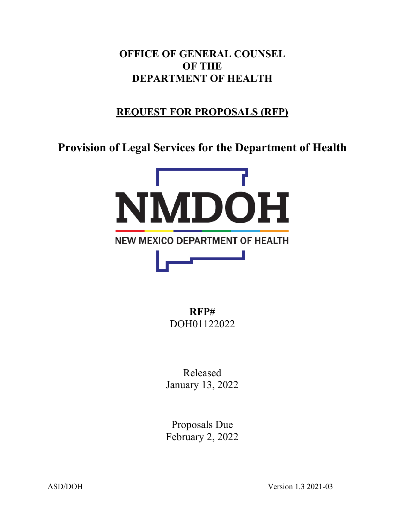**OFFICE OF GENERAL COUNSEL OF THE DEPARTMENT OF HEALTH**

# **REQUEST FOR PROPOSALS (RFP)**

**Provision of Legal Services for the Department of Health**



**RFP#** DOH01122022

Released January 13, 2022

Proposals Due February 2, 2022

ASD/DOH Version 1.3 2021-03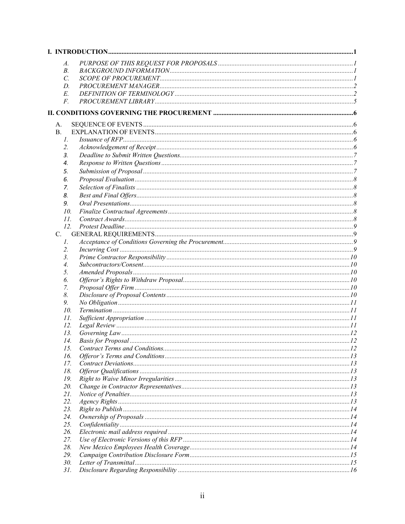| A.          |  |
|-------------|--|
| В.          |  |
| C.          |  |
| D.          |  |
| Е.          |  |
| F.          |  |
|             |  |
|             |  |
| A.          |  |
| B.          |  |
| Ι.          |  |
| 2.          |  |
| 3.          |  |
| 4.          |  |
| 5.          |  |
| 6.          |  |
| 7.          |  |
| 8.          |  |
| 9.          |  |
| 10.         |  |
| II.         |  |
| 12.         |  |
| C.          |  |
| $I_{\cdot}$ |  |
| 2.          |  |
| 3.<br>4.    |  |
| 5.          |  |
| 6.          |  |
| 7.          |  |
| 8.          |  |
| 9.          |  |
| 10.         |  |
| 11.         |  |
| 12.         |  |
| 13.         |  |
| 14.         |  |
| 15.         |  |
| 16.         |  |
| 17.         |  |
| 18.         |  |
| 19.         |  |
| 20.         |  |
| 21.         |  |
| 22.         |  |
| 23.         |  |
| 24.         |  |
| 25.         |  |
| 26.         |  |
| 27.         |  |
| 28.         |  |
| 29.<br>30.  |  |
| 31.         |  |
|             |  |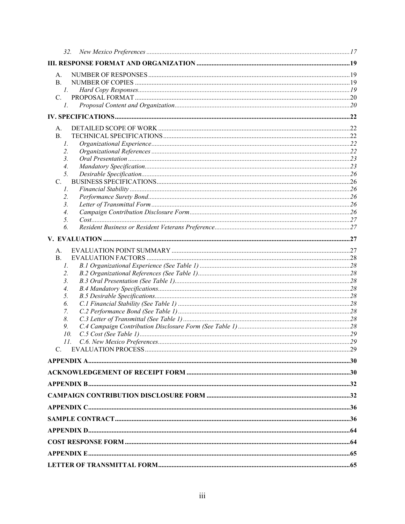| 32.         |  |    |
|-------------|--|----|
|             |  |    |
| A.          |  |    |
| В.          |  |    |
| 1.          |  |    |
| C.          |  |    |
| $l_{\cdot}$ |  |    |
|             |  |    |
| А.          |  |    |
| <b>B.</b>   |  |    |
| Ι.          |  |    |
| 2.          |  |    |
| 3.          |  |    |
| 4.          |  |    |
| 5.          |  |    |
| C.          |  |    |
| 1.          |  |    |
| 2.          |  |    |
| 3.          |  |    |
| 4.<br>5.    |  |    |
| 6.          |  |    |
|             |  |    |
|             |  |    |
| А.          |  |    |
| B.          |  |    |
| Ι.<br>2.    |  |    |
| 3.          |  |    |
| 4.          |  |    |
| 5.          |  |    |
| 6.          |  |    |
| 7.          |  |    |
| 8.          |  |    |
| 9.          |  |    |
| 10.         |  |    |
| 11.         |  | 29 |
| $C_{\cdot}$ |  |    |
|             |  |    |
|             |  |    |
|             |  |    |
|             |  |    |
|             |  |    |
|             |  |    |
|             |  |    |
|             |  |    |
|             |  |    |
|             |  |    |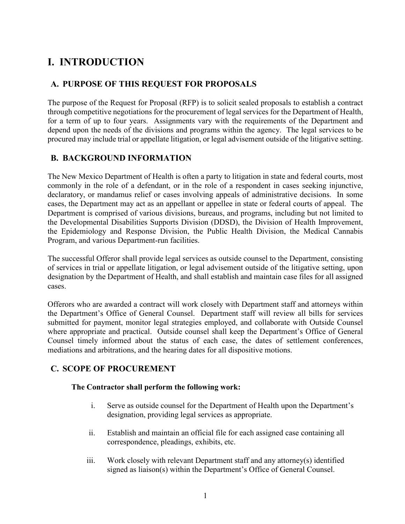# <span id="page-4-0"></span>**I. INTRODUCTION**

## <span id="page-4-1"></span>**A. PURPOSE OF THIS REQUEST FOR PROPOSALS**

The purpose of the Request for Proposal (RFP) is to solicit sealed proposals to establish a contract through competitive negotiations for the procurement of legal services for the Department of Health, for a term of up to four years. Assignments vary with the requirements of the Department and depend upon the needs of the divisions and programs within the agency. The legal services to be procured may include trial or appellate litigation, or legal advisement outside of the litigative setting.

## <span id="page-4-2"></span>**B. BACKGROUND INFORMATION**

The New Mexico Department of Health is often a party to litigation in state and federal courts, most commonly in the role of a defendant, or in the role of a respondent in cases seeking injunctive, declaratory, or mandamus relief or cases involving appeals of administrative decisions. In some cases, the Department may act as an appellant or appellee in state or federal courts of appeal. The Department is comprised of various divisions, bureaus, and programs, including but not limited to the Developmental Disabilities Supports Division (DDSD), the Division of Health Improvement, the Epidemiology and Response Division, the Public Health Division, the Medical Cannabis Program, and various Department-run facilities.

The successful Offeror shall provide legal services as outside counsel to the Department, consisting of services in trial or appellate litigation, or legal advisement outside of the litigative setting, upon designation by the Department of Health, and shall establish and maintain case files for all assigned cases.

Offerors who are awarded a contract will work closely with Department staff and attorneys within the Department's Office of General Counsel. Department staff will review all bills for services submitted for payment, monitor legal strategies employed, and collaborate with Outside Counsel where appropriate and practical. Outside counsel shall keep the Department's Office of General Counsel timely informed about the status of each case, the dates of settlement conferences, mediations and arbitrations, and the hearing dates for all dispositive motions.

# <span id="page-4-3"></span>**C. SCOPE OF PROCUREMENT**

#### **The Contractor shall perform the following work:**

- i. Serve as outside counsel for the Department of Health upon the Department's designation, providing legal services as appropriate.
- ii. Establish and maintain an official file for each assigned case containing all correspondence, pleadings, exhibits, etc.
- iii. Work closely with relevant Department staff and any attorney(s) identified signed as liaison(s) within the Department's Office of General Counsel.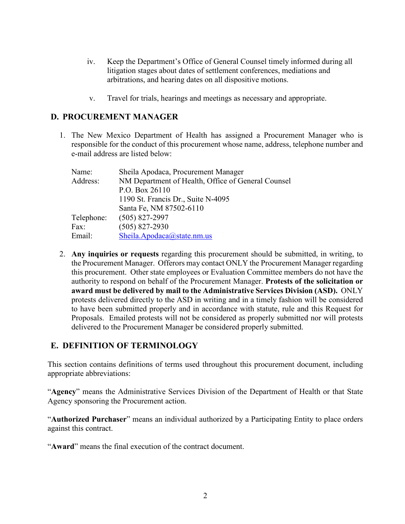- iv. Keep the Department's Office of General Counsel timely informed during all litigation stages about dates of settlement conferences, mediations and arbitrations, and hearing dates on all dispositive motions.
- v. Travel for trials, hearings and meetings as necessary and appropriate.

### <span id="page-5-0"></span>**D. PROCUREMENT MANAGER**

1. The New Mexico Department of Health has assigned a Procurement Manager who is responsible for the conduct of this procurement whose name, address, telephone number and e-mail address are listed below:

| Name:      | Sheila Apodaca, Procurement Manager                |
|------------|----------------------------------------------------|
| Address:   | NM Department of Health, Office of General Counsel |
|            | P.O. Box 26110                                     |
|            | 1190 St. Francis Dr., Suite N-4095                 |
|            | Santa Fe, NM 87502-6110                            |
| Telephone: | $(505)$ 827-2997                                   |
| Fax:       | $(505)$ 827-2930                                   |
| Email:     | Sheila.Apodaca@state.nm.us                         |

2. **Any inquiries or requests** regarding this procurement should be submitted, in writing, to the Procurement Manager. Offerors may contact ONLY the Procurement Manager regarding this procurement. Other state employees or Evaluation Committee members do not have the authority to respond on behalf of the Procurement Manager. **Protests of the solicitation or award must be delivered by mail to the Administrative Services Division (ASD).** ONLY protests delivered directly to the ASD in writing and in a timely fashion will be considered to have been submitted properly and in accordance with statute, rule and this Request for Proposals. Emailed protests will not be considered as properly submitted nor will protests delivered to the Procurement Manager be considered properly submitted.

## <span id="page-5-1"></span>**E. DEFINITION OF TERMINOLOGY**

This section contains definitions of terms used throughout this procurement document, including appropriate abbreviations:

"**Agency**" means the Administrative Services Division of the Department of Health or that State Agency sponsoring the Procurement action.

"**Authorized Purchaser**" means an individual authorized by a Participating Entity to place orders against this contract.

"**Award**" means the final execution of the contract document.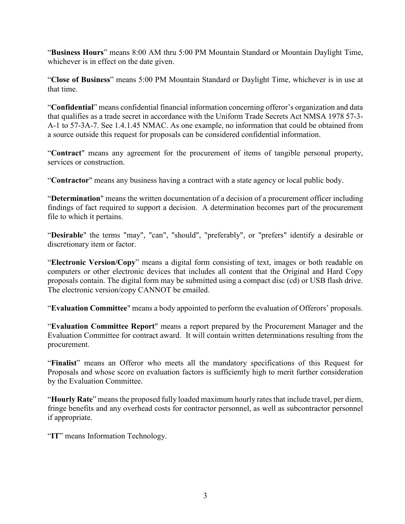"**Business Hours**" means 8:00 AM thru 5:00 PM Mountain Standard or Mountain Daylight Time, whichever is in effect on the date given.

"**Close of Business**" means 5:00 PM Mountain Standard or Daylight Time, whichever is in use at that time.

"**Confidential**" means confidential financial information concerning offeror's organization and data that qualifies as a trade secret in accordance with the Uniform Trade Secrets Act NMSA 1978 57-3- A-1 to 57-3A-7. See 1.4.1.45 NMAC. As one example, no information that could be obtained from a source outside this request for proposals can be considered confidential information.

"**Contract**" means any agreement for the procurement of items of tangible personal property, services or construction.

"**Contractor**" means any business having a contract with a state agency or local public body.

"**Determination**" means the written documentation of a decision of a procurement officer including findings of fact required to support a decision. A determination becomes part of the procurement file to which it pertains.

"**Desirable**" the terms "may", "can", "should", "preferably", or "prefers" identify a desirable or discretionary item or factor.

"**Electronic Version/Copy**" means a digital form consisting of text, images or both readable on computers or other electronic devices that includes all content that the Original and Hard Copy proposals contain. The digital form may be submitted using a compact disc (cd) or USB flash drive. The electronic version/copy CANNOT be emailed.

"**Evaluation Committee**" means a body appointed to perform the evaluation of Offerors' proposals.

"**Evaluation Committee Report**" means a report prepared by the Procurement Manager and the Evaluation Committee for contract award. It will contain written determinations resulting from the procurement.

"**Finalist**" means an Offeror who meets all the mandatory specifications of this Request for Proposals and whose score on evaluation factors is sufficiently high to merit further consideration by the Evaluation Committee.

"**Hourly Rate**" means the proposed fully loaded maximum hourly rates that include travel, per diem, fringe benefits and any overhead costs for contractor personnel, as well as subcontractor personnel if appropriate.

"**IT**" means Information Technology.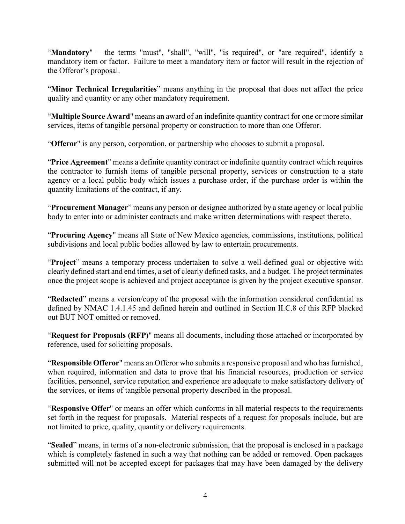"Mandatory" – the terms "must", "shall", "will", "is required", or "are required", identify a mandatory item or factor. Failure to meet a mandatory item or factor will result in the rejection of the Offeror's proposal.

"**Minor Technical Irregularities**" means anything in the proposal that does not affect the price quality and quantity or any other mandatory requirement.

"**Multiple Source Award**" means an award of an indefinite quantity contract for one or more similar services, items of tangible personal property or construction to more than one Offeror.

"**Offeror**" is any person, corporation, or partnership who chooses to submit a proposal.

"**Price Agreement**" means a definite quantity contract or indefinite quantity contract which requires the contractor to furnish items of tangible personal property, services or construction to a state agency or a local public body which issues a purchase order, if the purchase order is within the quantity limitations of the contract, if any.

"**Procurement Manager**" means any person or designee authorized by a state agency or local public body to enter into or administer contracts and make written determinations with respect thereto.

"**Procuring Agency**" means all State of New Mexico agencies, commissions, institutions, political subdivisions and local public bodies allowed by law to entertain procurements.

"**Project**" means a temporary process undertaken to solve a well-defined goal or objective with clearly defined start and end times, a set of clearly defined tasks, and a budget. The project terminates once the project scope is achieved and project acceptance is given by the project executive sponsor.

"**Redacted**" means a version/copy of the proposal with the information considered confidential as defined by NMAC 1.4.1.45 and defined herein and outlined in Section II.C.8 of this RFP blacked out BUT NOT omitted or removed.

"**Request for Proposals (RFP)**" means all documents, including those attached or incorporated by reference, used for soliciting proposals.

"**Responsible Offeror**" means an Offeror who submits a responsive proposal and who has furnished, when required, information and data to prove that his financial resources, production or service facilities, personnel, service reputation and experience are adequate to make satisfactory delivery of the services, or items of tangible personal property described in the proposal.

"**Responsive Offer**" or means an offer which conforms in all material respects to the requirements set forth in the request for proposals. Material respects of a request for proposals include, but are not limited to price, quality, quantity or delivery requirements.

"**Sealed**" means, in terms of a non-electronic submission, that the proposal is enclosed in a package which is completely fastened in such a way that nothing can be added or removed. Open packages submitted will not be accepted except for packages that may have been damaged by the delivery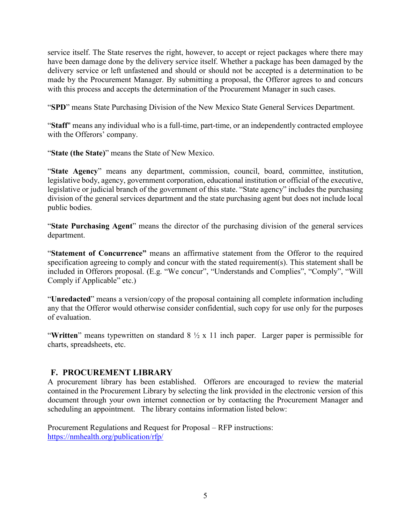service itself. The State reserves the right, however, to accept or reject packages where there may have been damage done by the delivery service itself. Whether a package has been damaged by the delivery service or left unfastened and should or should not be accepted is a determination to be made by the Procurement Manager. By submitting a proposal, the Offeror agrees to and concurs with this process and accepts the determination of the Procurement Manager in such cases.

"**SPD**" means State Purchasing Division of the New Mexico State General Services Department.

"**Staff**" means any individual who is a full-time, part-time, or an independently contracted employee with the Offerors' company.

"**State (the State)**" means the State of New Mexico.

"**State Agency**" means any department, commission, council, board, committee, institution, legislative body, agency, government corporation, educational institution or official of the executive, legislative or judicial branch of the government of this state. "State agency" includes the purchasing division of the general services department and the state purchasing agent but does not include local public bodies.

"**State Purchasing Agent**" means the director of the purchasing division of the general services department.

"**Statement of Concurrence"** means an affirmative statement from the Offeror to the required specification agreeing to comply and concur with the stated requirement(s). This statement shall be included in Offerors proposal. (E.g. "We concur", "Understands and Complies", "Comply", "Will Comply if Applicable" etc.)

"**Unredacted**" means a version/copy of the proposal containing all complete information including any that the Offeror would otherwise consider confidential, such copy for use only for the purposes of evaluation.

"**Written**" means typewritten on standard 8 ½ x 11 inch paper. Larger paper is permissible for charts, spreadsheets, etc.

## <span id="page-8-0"></span>**F. PROCUREMENT LIBRARY**

A procurement library has been established. Offerors are encouraged to review the material contained in the Procurement Library by selecting the link provided in the electronic version of this document through your own internet connection or by contacting the Procurement Manager and scheduling an appointment. The library contains information listed below:

Procurement Regulations and Request for Proposal – RFP instructions: <https://nmhealth.org/publication/rfp/>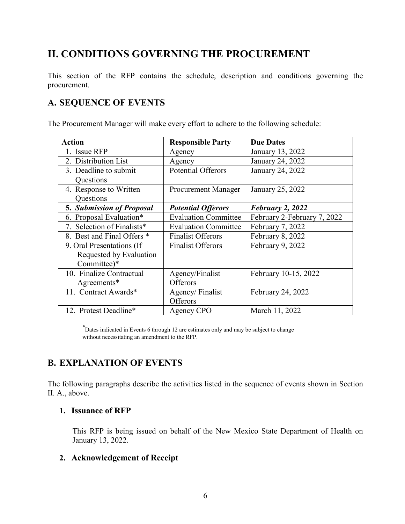# <span id="page-9-0"></span>**II. CONDITIONS GOVERNING THE PROCUREMENT**

This section of the RFP contains the schedule, description and conditions governing the procurement.

# <span id="page-9-1"></span>**A. SEQUENCE OF EVENTS**

The Procurement Manager will make every effort to adhere to the following schedule:

| <b>Action</b>                    | <b>Responsible Party</b>    | <b>Due Dates</b>            |
|----------------------------------|-----------------------------|-----------------------------|
| 1. Issue RFP                     | Agency                      | January 13, 2022            |
| 2. Distribution List             | Agency                      | January 24, 2022            |
| 3. Deadline to submit            | <b>Potential Offerors</b>   | January 24, 2022            |
| Questions                        |                             |                             |
| 4. Response to Written           | <b>Procurement Manager</b>  | January 25, 2022            |
| Questions                        |                             |                             |
| <b>5. Submission of Proposal</b> | <b>Potential Offerors</b>   | February 2, 2022            |
| 6. Proposal Evaluation*          | <b>Evaluation Committee</b> | February 2-February 7, 2022 |
| 7. Selection of Finalists*       | <b>Evaluation Committee</b> | February 7, 2022            |
| 8. Best and Final Offers *       | <b>Finalist Offerors</b>    | February 8, 2022            |
| 9. Oral Presentations (If        | <b>Finalist Offerors</b>    | February 9, 2022            |
| Requested by Evaluation          |                             |                             |
| Committee)*                      |                             |                             |
| 10. Finalize Contractual         | Agency/Finalist             | February 10-15, 2022        |
| Agreements*                      | Offerors                    |                             |
| 11. Contract Awards*             | Agency/Finalist             | February 24, 2022           |
|                                  | Offerors                    |                             |
| 12. Protest Deadline*            | Agency CPO                  | March 11, 2022              |

\* Dates indicated in Events 6 through 12 are estimates only and may be subject to change without necessitating an amendment to the RFP.

# <span id="page-9-2"></span>**B. EXPLANATION OF EVENTS**

The following paragraphs describe the activities listed in the sequence of events shown in Section II. A., above.

#### <span id="page-9-3"></span>**1. Issuance of RFP**

This RFP is being issued on behalf of the New Mexico State Department of Health on January 13, 2022.

#### <span id="page-9-4"></span>**2. Acknowledgement of Receipt**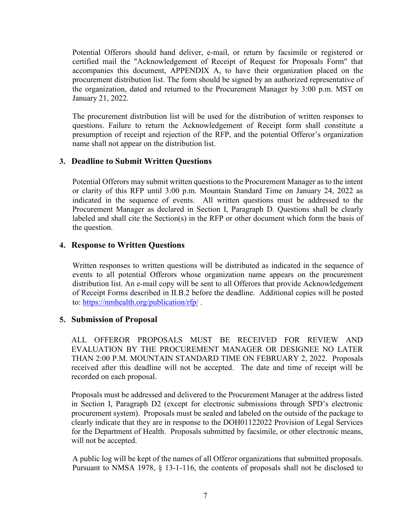Potential Offerors should hand deliver, e-mail, or return by facsimile or registered or certified mail the "Acknowledgement of Receipt of Request for Proposals Form" that accompanies this document, APPENDIX A, to have their organization placed on the procurement distribution list. The form should be signed by an authorized representative of the organization, dated and returned to the Procurement Manager by 3:00 p.m. MST on January 21, 2022.

The procurement distribution list will be used for the distribution of written responses to questions. Failure to return the Acknowledgement of Receipt form shall constitute a presumption of receipt and rejection of the RFP, and the potential Offeror's organization name shall not appear on the distribution list.

### <span id="page-10-0"></span>**3. Deadline to Submit Written Questions**

Potential Offerors may submit written questions to the Procurement Manager as to the intent or clarity of this RFP until 3:00 p.m. Mountain Standard Time on January 24, 2022 as indicated in the sequence of events. All written questions must be addressed to the Procurement Manager as declared in Section I, Paragraph D. Questions shall be clearly labeled and shall cite the Section(s) in the RFP or other document which form the basis of the question.

### <span id="page-10-1"></span>**4. Response to Written Questions**

Written responses to written questions will be distributed as indicated in the sequence of events to all potential Offerors whose organization name appears on the procurement distribution list. An e-mail copy will be sent to all Offerors that provide Acknowledgement of Receipt Forms described in II.B.2 before the deadline. Additional copies will be posted to:<https://nmhealth.org/publication/rfp/> .

#### <span id="page-10-2"></span>**5. Submission of Proposal**

ALL OFFEROR PROPOSALS MUST BE RECEIVED FOR REVIEW AND EVALUATION BY THE PROCUREMENT MANAGER OR DESIGNEE NO LATER THAN 2:00 P.M. MOUNTAIN STANDARD TIME ON FEBRUARY 2, 2022. Proposals received after this deadline will not be accepted. The date and time of receipt will be recorded on each proposal.

Proposals must be addressed and delivered to the Procurement Manager at the address listed in Section I, Paragraph D2 (except for electronic submissions through SPD's electronic procurement system). Proposals must be sealed and labeled on the outside of the package to clearly indicate that they are in response to the DOH01122022 Provision of Legal Services for the Department of Health. Proposals submitted by facsimile, or other electronic means, will not be accepted.

A public log will be kept of the names of all Offeror organizations that submitted proposals. Pursuant to NMSA 1978, § 13-1-116, the contents of proposals shall not be disclosed to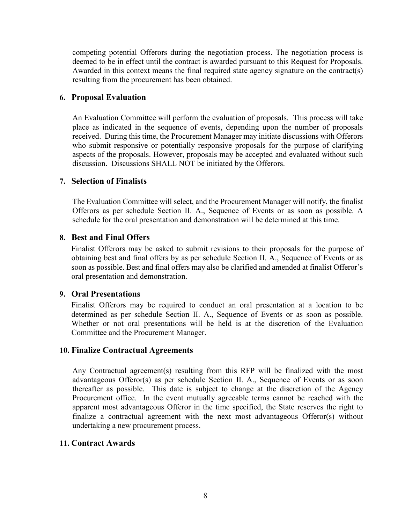competing potential Offerors during the negotiation process. The negotiation process is deemed to be in effect until the contract is awarded pursuant to this Request for Proposals. Awarded in this context means the final required state agency signature on the contract(s) resulting from the procurement has been obtained.

#### <span id="page-11-0"></span>**6. Proposal Evaluation**

An Evaluation Committee will perform the evaluation of proposals. This process will take place as indicated in the sequence of events, depending upon the number of proposals received. During this time, the Procurement Manager may initiate discussions with Offerors who submit responsive or potentially responsive proposals for the purpose of clarifying aspects of the proposals. However, proposals may be accepted and evaluated without such discussion. Discussions SHALL NOT be initiated by the Offerors.

## <span id="page-11-1"></span>**7. Selection of Finalists**

The Evaluation Committee will select, and the Procurement Manager will notify, the finalist Offerors as per schedule Section II. A., Sequence of Events or as soon as possible. A schedule for the oral presentation and demonstration will be determined at this time.

#### <span id="page-11-2"></span>**8. Best and Final Offers**

Finalist Offerors may be asked to submit revisions to their proposals for the purpose of obtaining best and final offers by as per schedule Section II. A., Sequence of Events or as soon as possible. Best and final offers may also be clarified and amended at finalist Offeror's oral presentation and demonstration.

#### <span id="page-11-3"></span>**9. Oral Presentations**

Finalist Offerors may be required to conduct an oral presentation at a location to be determined as per schedule Section II. A., Sequence of Events or as soon as possible. Whether or not oral presentations will be held is at the discretion of the Evaluation Committee and the Procurement Manager.

#### <span id="page-11-4"></span>**10. Finalize Contractual Agreements**

Any Contractual agreement(s) resulting from this RFP will be finalized with the most advantageous Offeror(s) as per schedule Section II. A., Sequence of Events or as soon thereafter as possible. This date is subject to change at the discretion of the Agency Procurement office. In the event mutually agreeable terms cannot be reached with the apparent most advantageous Offeror in the time specified, the State reserves the right to finalize a contractual agreement with the next most advantageous Offeror(s) without undertaking a new procurement process.

#### <span id="page-11-5"></span>**11. Contract Awards**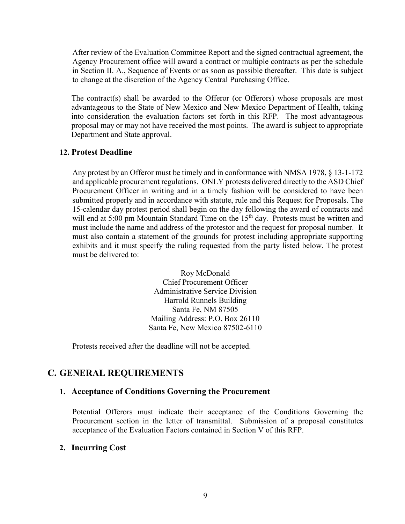After review of the Evaluation Committee Report and the signed contractual agreement, the Agency Procurement office will award a contract or multiple contracts as per the schedule in Section II. A., Sequence of Events or as soon as possible thereafter. This date is subject to change at the discretion of the Agency Central Purchasing Office.

The contract(s) shall be awarded to the Offeror (or Offerors) whose proposals are most advantageous to the State of New Mexico and New Mexico Department of Health, taking into consideration the evaluation factors set forth in this RFP. The most advantageous proposal may or may not have received the most points. The award is subject to appropriate Department and State approval.

#### <span id="page-12-0"></span>**12. Protest Deadline**

Any protest by an Offeror must be timely and in conformance with NMSA 1978, § 13-1-172 and applicable procurement regulations. ONLY protests delivered directly to the ASD Chief Procurement Officer in writing and in a timely fashion will be considered to have been submitted properly and in accordance with statute, rule and this Request for Proposals. The 15-calendar day protest period shall begin on the day following the award of contracts and will end at 5:00 pm Mountain Standard Time on the 15<sup>th</sup> day. Protests must be written and must include the name and address of the protestor and the request for proposal number. It must also contain a statement of the grounds for protest including appropriate supporting exhibits and it must specify the ruling requested from the party listed below. The protest must be delivered to:

> Roy McDonald Chief Procurement Officer Administrative Service Division Harrold Runnels Building Santa Fe, NM 87505 Mailing Address: P.O. Box 26110 Santa Fe, New Mexico 87502-6110

Protests received after the deadline will not be accepted.

## <span id="page-12-2"></span><span id="page-12-1"></span>**C. GENERAL REQUIREMENTS**

#### **1. Acceptance of Conditions Governing the Procurement**

Potential Offerors must indicate their acceptance of the Conditions Governing the Procurement section in the letter of transmittal. Submission of a proposal constitutes acceptance of the Evaluation Factors contained in Section V of this RFP.

#### <span id="page-12-3"></span>**2. Incurring Cost**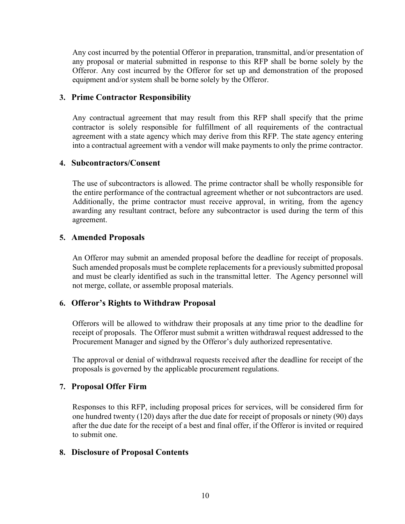Any cost incurred by the potential Offeror in preparation, transmittal, and/or presentation of any proposal or material submitted in response to this RFP shall be borne solely by the Offeror. Any cost incurred by the Offeror for set up and demonstration of the proposed equipment and/or system shall be borne solely by the Offeror.

#### <span id="page-13-0"></span>**3. Prime Contractor Responsibility**

Any contractual agreement that may result from this RFP shall specify that the prime contractor is solely responsible for fulfillment of all requirements of the contractual agreement with a state agency which may derive from this RFP. The state agency entering into a contractual agreement with a vendor will make payments to only the prime contractor.

### <span id="page-13-1"></span>**4. Subcontractors/Consent**

The use of subcontractors is allowed. The prime contractor shall be wholly responsible for the entire performance of the contractual agreement whether or not subcontractors are used. Additionally, the prime contractor must receive approval, in writing, from the agency awarding any resultant contract, before any subcontractor is used during the term of this agreement.

### <span id="page-13-2"></span>**5. Amended Proposals**

An Offeror may submit an amended proposal before the deadline for receipt of proposals. Such amended proposals must be complete replacements for a previously submitted proposal and must be clearly identified as such in the transmittal letter. The Agency personnel will not merge, collate, or assemble proposal materials.

## <span id="page-13-3"></span>**6. Offeror's Rights to Withdraw Proposal**

Offerors will be allowed to withdraw their proposals at any time prior to the deadline for receipt of proposals. The Offeror must submit a written withdrawal request addressed to the Procurement Manager and signed by the Offeror's duly authorized representative.

The approval or denial of withdrawal requests received after the deadline for receipt of the proposals is governed by the applicable procurement regulations.

## <span id="page-13-4"></span>**7. Proposal Offer Firm**

Responses to this RFP, including proposal prices for services, will be considered firm for one hundred twenty (120) days after the due date for receipt of proposals or ninety (90) days after the due date for the receipt of a best and final offer, if the Offeror is invited or required to submit one.

#### <span id="page-13-5"></span>**8. Disclosure of Proposal Contents**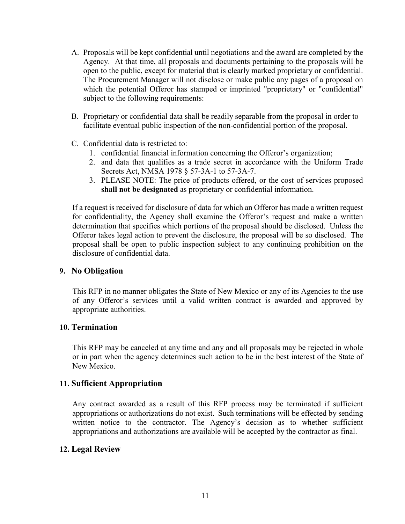- A. Proposals will be kept confidential until negotiations and the award are completed by the Agency. At that time, all proposals and documents pertaining to the proposals will be open to the public, except for material that is clearly marked proprietary or confidential. The Procurement Manager will not disclose or make public any pages of a proposal on which the potential Offeror has stamped or imprinted "proprietary" or "confidential" subject to the following requirements:
- B. Proprietary or confidential data shall be readily separable from the proposal in order to facilitate eventual public inspection of the non-confidential portion of the proposal.
- C. Confidential data is restricted to:
	- 1. confidential financial information concerning the Offeror's organization;
	- 2. and data that qualifies as a trade secret in accordance with the Uniform Trade Secrets Act, NMSA 1978 § 57-3A-1 to 57-3A-7.
	- 3. PLEASE NOTE: The price of products offered, or the cost of services proposed **shall not be designated** as proprietary or confidential information.

If a request is received for disclosure of data for which an Offeror has made a written request for confidentiality, the Agency shall examine the Offeror's request and make a written determination that specifies which portions of the proposal should be disclosed. Unless the Offeror takes legal action to prevent the disclosure, the proposal will be so disclosed. The proposal shall be open to public inspection subject to any continuing prohibition on the disclosure of confidential data.

#### **9. No Obligation**

<span id="page-14-0"></span>This RFP in no manner obligates the State of New Mexico or any of its Agencies to the use of any Offeror's services until a valid written contract is awarded and approved by appropriate authorities.

#### <span id="page-14-1"></span>**10. Termination**

This RFP may be canceled at any time and any and all proposals may be rejected in whole or in part when the agency determines such action to be in the best interest of the State of New Mexico.

#### <span id="page-14-2"></span>**11. Sufficient Appropriation**

Any contract awarded as a result of this RFP process may be terminated if sufficient appropriations or authorizations do not exist. Such terminations will be effected by sending written notice to the contractor. The Agency's decision as to whether sufficient appropriations and authorizations are available will be accepted by the contractor as final.

#### <span id="page-14-3"></span>**12. Legal Review**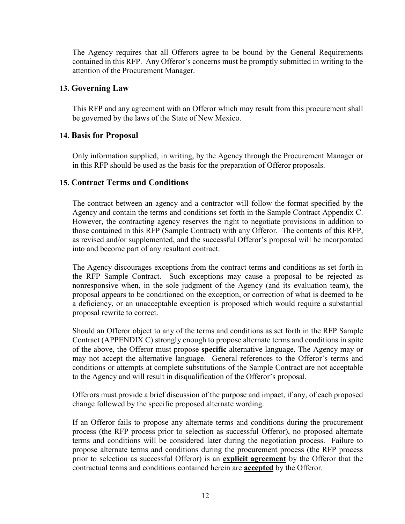The Agency requires that all Offerors agree to be bound by the General Requirements contained in this RFP. Any Offeror's concerns must be promptly submitted in writing to the attention of the Procurement Manager.

#### <span id="page-15-0"></span>**13. Governing Law**

This RFP and any agreement with an Offeror which may result from this procurement shall be governed by the laws of the State of New Mexico.

#### <span id="page-15-1"></span>**14. Basis for Proposal**

Only information supplied, in writing, by the Agency through the Procurement Manager or in this RFP should be used as the basis for the preparation of Offeror proposals.

#### <span id="page-15-2"></span>**15. Contract Terms and Conditions**

The contract between an agency and a contractor will follow the format specified by the Agency and contain the terms and conditions set forth in the Sample Contract Appendix C. However, the contracting agency reserves the right to negotiate provisions in addition to those contained in this RFP (Sample Contract) with any Offeror. The contents of this RFP, as revised and/or supplemented, and the successful Offeror's proposal will be incorporated into and become part of any resultant contract.

The Agency discourages exceptions from the contract terms and conditions as set forth in the RFP Sample Contract. Such exceptions may cause a proposal to be rejected as nonresponsive when, in the sole judgment of the Agency (and its evaluation team), the proposal appears to be conditioned on the exception, or correction of what is deemed to be a deficiency, or an unacceptable exception is proposed which would require a substantial proposal rewrite to correct.

Should an Offeror object to any of the terms and conditions as set forth in the RFP Sample Contract (APPENDIX C) strongly enough to propose alternate terms and conditions in spite of the above, the Offeror must propose **specific** alternative language. The Agency may or may not accept the alternative language. General references to the Offeror's terms and conditions or attempts at complete substitutions of the Sample Contract are not acceptable to the Agency and will result in disqualification of the Offeror's proposal.

Offerors must provide a brief discussion of the purpose and impact, if any, of each proposed change followed by the specific proposed alternate wording.

If an Offeror fails to propose any alternate terms and conditions during the procurement process (the RFP process prior to selection as successful Offeror), no proposed alternate terms and conditions will be considered later during the negotiation process. Failure to propose alternate terms and conditions during the procurement process (the RFP process prior to selection as successful Offeror) is an **explicit agreement** by the Offeror that the contractual terms and conditions contained herein are **accepted** by the Offeror.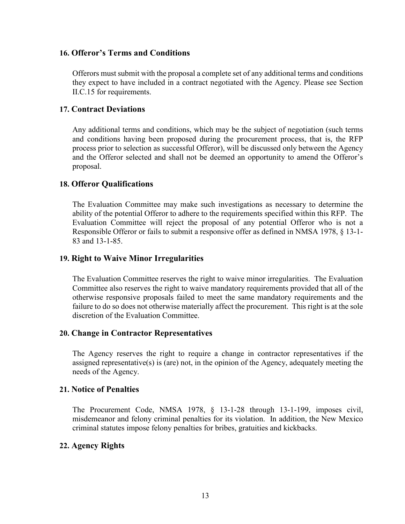#### <span id="page-16-0"></span>**16. Offeror's Terms and Conditions**

Offerors must submit with the proposal a complete set of any additional terms and conditions they expect to have included in a contract negotiated with the Agency. Please see Section II.C.15 for requirements.

#### <span id="page-16-1"></span>**17. Contract Deviations**

Any additional terms and conditions, which may be the subject of negotiation (such terms and conditions having been proposed during the procurement process, that is, the RFP process prior to selection as successful Offeror), will be discussed only between the Agency and the Offeror selected and shall not be deemed an opportunity to amend the Offeror's proposal.

#### <span id="page-16-2"></span>**18. Offeror Qualifications**

The Evaluation Committee may make such investigations as necessary to determine the ability of the potential Offeror to adhere to the requirements specified within this RFP. The Evaluation Committee will reject the proposal of any potential Offeror who is not a Responsible Offeror or fails to submit a responsive offer as defined in NMSA 1978, § 13-1- 83 and 13-1-85.

#### <span id="page-16-3"></span>**19. Right to Waive Minor Irregularities**

The Evaluation Committee reserves the right to waive minor irregularities. The Evaluation Committee also reserves the right to waive mandatory requirements provided that all of the otherwise responsive proposals failed to meet the same mandatory requirements and the failure to do so does not otherwise materially affect the procurement. This right is at the sole discretion of the Evaluation Committee.

#### <span id="page-16-4"></span>**20. Change in Contractor Representatives**

The Agency reserves the right to require a change in contractor representatives if the assigned representative(s) is (are) not, in the opinion of the Agency, adequately meeting the needs of the Agency.

## <span id="page-16-5"></span>**21. Notice of Penalties**

The Procurement Code, NMSA 1978, § 13-1-28 through 13-1-199, imposes civil, misdemeanor and felony criminal penalties for its violation. In addition, the New Mexico criminal statutes impose felony penalties for bribes, gratuities and kickbacks.

#### <span id="page-16-6"></span>**22. Agency Rights**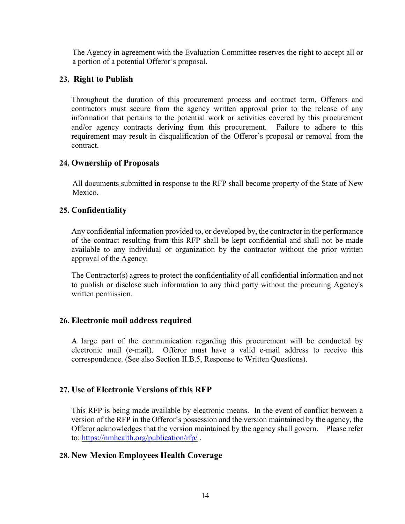The Agency in agreement with the Evaluation Committee reserves the right to accept all or a portion of a potential Offeror's proposal.

### <span id="page-17-0"></span>**23. Right to Publish**

Throughout the duration of this procurement process and contract term, Offerors and contractors must secure from the agency written approval prior to the release of any information that pertains to the potential work or activities covered by this procurement and/or agency contracts deriving from this procurement. Failure to adhere to this requirement may result in disqualification of the Offeror's proposal or removal from the contract.

### <span id="page-17-1"></span>**24. Ownership of Proposals**

All documents submitted in response to the RFP shall become property of the State of New Mexico.

#### <span id="page-17-2"></span>**25. Confidentiality**

Any confidential information provided to, or developed by, the contractor in the performance of the contract resulting from this RFP shall be kept confidential and shall not be made available to any individual or organization by the contractor without the prior written approval of the Agency.

The Contractor(s) agrees to protect the confidentiality of all confidential information and not to publish or disclose such information to any third party without the procuring Agency's written permission.

#### <span id="page-17-3"></span>**26. Electronic mail address required**

A large part of the communication regarding this procurement will be conducted by electronic mail (e-mail). Offeror must have a valid e-mail address to receive this correspondence. (See also Section II.B.5, Response to Written Questions).

## <span id="page-17-4"></span>**27. Use of Electronic Versions of this RFP**

This RFP is being made available by electronic means. In the event of conflict between a version of the RFP in the Offeror's possession and the version maintained by the agency, the Offeror acknowledges that the version maintained by the agency shall govern. Please refer to: <https://nmhealth.org/publication/rfp/> .

#### <span id="page-17-5"></span>**28. New Mexico Employees Health Coverage**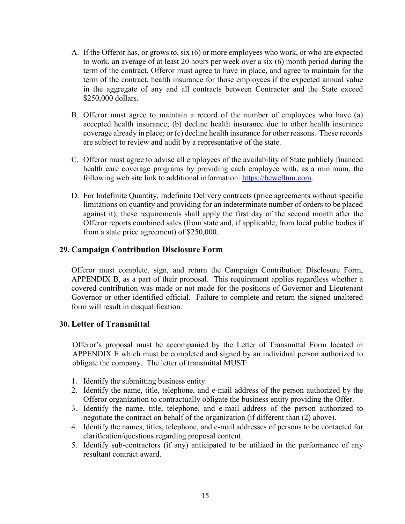- A. If the Offeror has, or grows to, six (6) or more employees who work, or who are expected to work, an average of at least 20 hours per week over a six (6) month period during the term of the contract, Offeror must agree to have in place, and agree to maintain for the term of the contract, health insurance for those employees if the expected annual value in the aggregate of any and all contracts between Contractor and the State exceed \$250,000 dollars.
- B. Offeror must agree to maintain a record of the number of employees who have (a) accepted health insurance; (b) decline health insurance due to other health insurance coverage already in place; or (c) decline health insurance for other reasons. These records are subject to review and audit by a representative of the state.
- C. Offeror must agree to advise all employees of the availability of State publicly financed health care coverage programs by providing each employee with, as a minimum, the following web site link to additional information: https://bewellnm.com.
- D. For Indefinite Quantity, Indefinite Delivery contracts (price agreements without specific limitations on quantity and providing for an indeterminate number of orders to be placed against it); these requirements shall apply the first day of the second month after the Offeror reports combined sales (from state and, if applicable, from local public bodies if from a state price agreement) of \$250,000.

#### <span id="page-18-0"></span>**29. Campaign Contribution Disclosure Form**

Offeror must complete, sign, and return the Campaign Contribution Disclosure Form, APPENDIX B, as a part of their proposal. This requirement applies regardless whether a covered contribution was made or not made for the positions of Governor and Lieutenant Governor or other identified official. Failure to complete and return the signed unaltered form will result in disqualification.

#### <span id="page-18-1"></span>**30. Letter of Transmittal**

Offeror's proposal must be accompanied by the Letter of Transmittal Form located in APPENDIX E which must be completed and signed by an individual person authorized to obligate the company. The letter of transmittal MUST:

- 1. Identify the submitting business entity.
- 2. Identify the name, title, telephone, and e-mail address of the person authorized by the Offeror organization to contractually obligate the business entity providing the Offer.
- 3. Identify the name, title, telephone, and e-mail address of the person authorized to negotiate the contract on behalf of the organization (if different than (2) above).
- 4. Identify the names, titles, telephone, and e-mail addresses of persons to be contacted for clarification/questions regarding proposal content.
- 5. Identify sub-contractors (if any) anticipated to be utilized in the performance of any resultant contract award.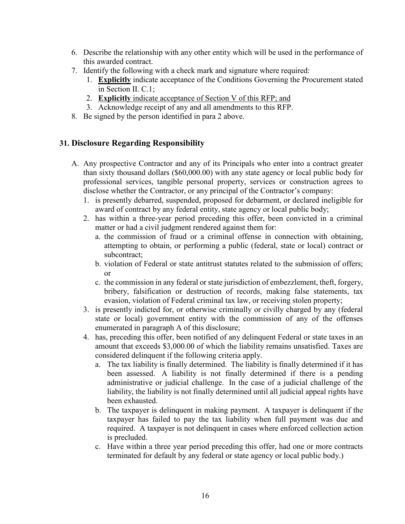- 6. Describe the relationship with any other entity which will be used in the performance of this awarded contract.
- 7. Identify the following with a check mark and signature where required:
	- 1. **Explicitly** indicate acceptance of the Conditions Governing the Procurement stated in Section II. C.1;
	- 2. **Explicitly** indicate acceptance of Section V of this RFP; and
	- 3. Acknowledge receipt of any and all amendments to this RFP.
- 8. Be signed by the person identified in para 2 above.

### <span id="page-19-0"></span>**31. Disclosure Regarding Responsibility**

- A. Any prospective Contractor and any of its Principals who enter into a contract greater than sixty thousand dollars (\$60,000.00) with any state agency or local public body for professional services, tangible personal property, services or construction agrees to disclose whether the Contractor, or any principal of the Contractor's company:
	- 1. is presently debarred, suspended, proposed for debarment, or declared ineligible for award of contract by any federal entity, state agency or local public body;
	- 2. has within a three-year period preceding this offer, been convicted in a criminal matter or had a civil judgment rendered against them for:
		- a. the commission of fraud or a criminal offense in connection with obtaining, attempting to obtain, or performing a public (federal, state or local) contract or subcontract;
		- b. violation of Federal or state antitrust statutes related to the submission of offers; or
		- c. the commission in any federal or state jurisdiction of embezzlement, theft, forgery, bribery, falsification or destruction of records, making false statements, tax evasion, violation of Federal criminal tax law, or receiving stolen property;
	- 3. is presently indicted for, or otherwise criminally or civilly charged by any (federal state or local) government entity with the commission of any of the offenses enumerated in paragraph A of this disclosure;
	- 4. has, preceding this offer, been notified of any delinquent Federal or state taxes in an amount that exceeds \$3,000.00 of which the liability remains unsatisfied. Taxes are considered delinquent if the following criteria apply.
		- a. The tax liability is finally determined. The liability is finally determined if it has been assessed. A liability is not finally determined if there is a pending administrative or judicial challenge. In the case of a judicial challenge of the liability, the liability is not finally determined until all judicial appeal rights have been exhausted.
		- b. The taxpayer is delinquent in making payment. A taxpayer is delinquent if the taxpayer has failed to pay the tax liability when full payment was due and required. A taxpayer is not delinquent in cases where enforced collection action is precluded.
		- c. Have within a three year period preceding this offer, had one or more contracts terminated for default by any federal or state agency or local public body.)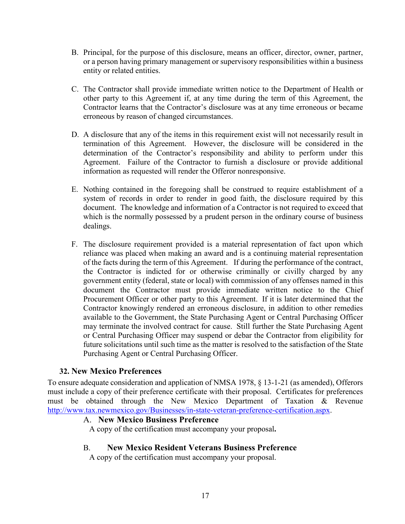- B. Principal, for the purpose of this disclosure, means an officer, director, owner, partner, or a person having primary management or supervisory responsibilities within a business entity or related entities.
- C. The Contractor shall provide immediate written notice to the Department of Health or other party to this Agreement if, at any time during the term of this Agreement, the Contractor learns that the Contractor's disclosure was at any time erroneous or became erroneous by reason of changed circumstances.
- D. A disclosure that any of the items in this requirement exist will not necessarily result in termination of this Agreement. However, the disclosure will be considered in the determination of the Contractor's responsibility and ability to perform under this Agreement. Failure of the Contractor to furnish a disclosure or provide additional information as requested will render the Offeror nonresponsive.
- E. Nothing contained in the foregoing shall be construed to require establishment of a system of records in order to render in good faith, the disclosure required by this document. The knowledge and information of a Contractor is not required to exceed that which is the normally possessed by a prudent person in the ordinary course of business dealings.
- F. The disclosure requirement provided is a material representation of fact upon which reliance was placed when making an award and is a continuing material representation of the facts during the term of this Agreement. If during the performance of the contract, the Contractor is indicted for or otherwise criminally or civilly charged by any government entity (federal, state or local) with commission of any offenses named in this document the Contractor must provide immediate written notice to the Chief Procurement Officer or other party to this Agreement. If it is later determined that the Contractor knowingly rendered an erroneous disclosure, in addition to other remedies available to the Government, the State Purchasing Agent or Central Purchasing Officer may terminate the involved contract for cause. Still further the State Purchasing Agent or Central Purchasing Officer may suspend or debar the Contractor from eligibility for future solicitations until such time as the matter is resolved to the satisfaction of the State Purchasing Agent or Central Purchasing Officer.

## <span id="page-20-0"></span>**32. New Mexico Preferences**

To ensure adequate consideration and application of NMSA 1978, § 13-1-21 (as amended), Offerors must include a copy of their preference certificate with their proposal. Certificates for preferences must be obtained through the New Mexico Department of Taxation & Revenue [http://www.tax.newmexico.gov/Businesses/in-state-veteran-preference-certification.aspx.](http://www.tax.newmexico.gov/Businesses/in-state-veteran-preference-certification.aspx)

#### A. **New Mexico Business Preference**

A copy of the certification must accompany your proposal**.**

#### B. **New Mexico Resident Veterans Business Preference**

A copy of the certification must accompany your proposal.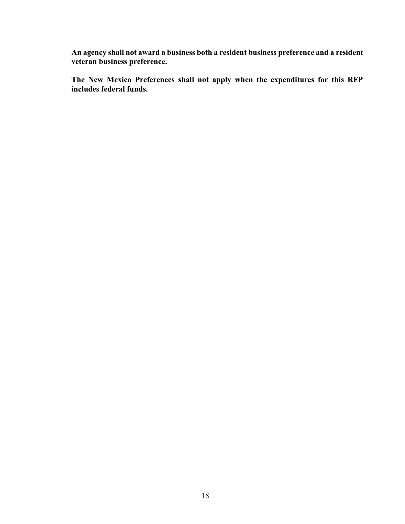**An agency shall not award a business both a resident business preference and a resident veteran business preference.** 

**The New Mexico Preferences shall not apply when the expenditures for this RFP includes federal funds.**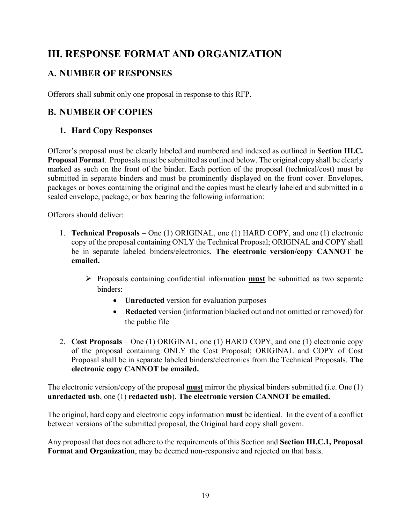# <span id="page-22-0"></span>**III. RESPONSE FORMAT AND ORGANIZATION**

# <span id="page-22-1"></span>**A. NUMBER OF RESPONSES**

Offerors shall submit only one proposal in response to this RFP.

# <span id="page-22-3"></span><span id="page-22-2"></span>**B. NUMBER OF COPIES**

# **1. Hard Copy Responses**

Offeror's proposal must be clearly labeled and numbered and indexed as outlined in **Section III.C. Proposal Format**. Proposals must be submitted as outlined below. The original copy shall be clearly marked as such on the front of the binder. Each portion of the proposal (technical/cost) must be submitted in separate binders and must be prominently displayed on the front cover. Envelopes, packages or boxes containing the original and the copies must be clearly labeled and submitted in a sealed envelope, package, or box bearing the following information:

Offerors should deliver:

- 1. **Technical Proposals** One (1) ORIGINAL, one (1) HARD COPY, and one (1) electronic copy of the proposal containing ONLY the Technical Proposal; ORIGINAL and COPY shall be in separate labeled binders/electronics. **The electronic version/copy CANNOT be emailed.**
	- Proposals containing confidential information **must** be submitted as two separate binders:
		- **Unredacted** version for evaluation purposes
		- **Redacted** version (information blacked out and not omitted or removed) for the public file
- 2. **Cost Proposals** One (1) ORIGINAL, one (1) HARD COPY, and one (1) electronic copy of the proposal containing ONLY the Cost Proposal; ORIGINAL and COPY of Cost Proposal shall be in separate labeled binders/electronics from the Technical Proposals. **The electronic copy CANNOT be emailed.**

The electronic version/copy of the proposal **must** mirror the physical binders submitted (i.e. One (1) **unredacted usb**, one (1) **redacted usb**). **The electronic version CANNOT be emailed.**

The original, hard copy and electronic copy information **must** be identical. In the event of a conflict between versions of the submitted proposal, the Original hard copy shall govern.

Any proposal that does not adhere to the requirements of this Section and **Section III.C.1, Proposal Format and Organization**, may be deemed non-responsive and rejected on that basis.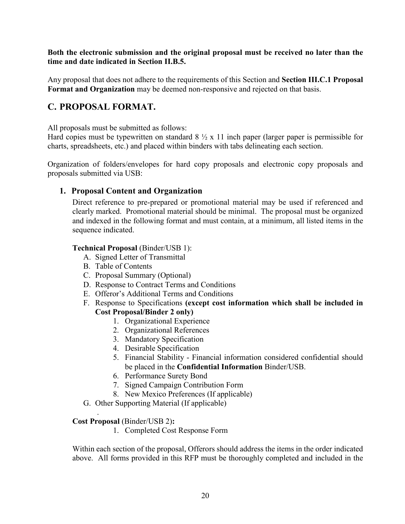**Both the electronic submission and the original proposal must be received no later than the time and date indicated in Section II.B.5.**

Any proposal that does not adhere to the requirements of this Section and **Section III.C.1 Proposal Format and Organization** may be deemed non-responsive and rejected on that basis.

# <span id="page-23-0"></span>**C. PROPOSAL FORMAT.**

All proposals must be submitted as follows:

Hard copies must be typewritten on standard  $8 \frac{1}{2}$  x 11 inch paper (larger paper is permissible for charts, spreadsheets, etc.) and placed within binders with tabs delineating each section.

Organization of folders/envelopes for hard copy proposals and electronic copy proposals and proposals submitted via USB:

## <span id="page-23-1"></span>**1. Proposal Content and Organization**

Direct reference to pre-prepared or promotional material may be used if referenced and clearly marked. Promotional material should be minimal. The proposal must be organized and indexed in the following format and must contain, at a minimum, all listed items in the sequence indicated.

#### **Technical Proposal** (Binder/USB 1):

- A. Signed Letter of Transmittal
- B. Table of Contents
- C. Proposal Summary (Optional)
- D. Response to Contract Terms and Conditions
- E. Offeror's Additional Terms and Conditions

#### F. Response to Specifications **(except cost information which shall be included in Cost Proposal/Binder 2 only)**

- 1. Organizational Experience
- 2. Organizational References
- 3. Mandatory Specification
- 4. Desirable Specification
- 5. Financial Stability Financial information considered confidential should be placed in the **Confidential Information** Binder/USB.
- 6. Performance Surety Bond
- 7. Signed Campaign Contribution Form
- 8. New Mexico Preferences (If applicable)
- G. Other Supporting Material (If applicable)

#### **Cost Proposal** (Binder/USB 2)**:**

.

1. Completed Cost Response Form

Within each section of the proposal, Offerors should address the items in the order indicated above. All forms provided in this RFP must be thoroughly completed and included in the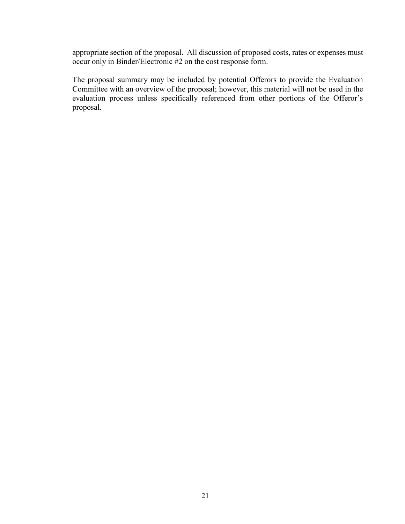appropriate section of the proposal. All discussion of proposed costs, rates or expenses must occur only in Binder/Electronic #2 on the cost response form.

The proposal summary may be included by potential Offerors to provide the Evaluation Committee with an overview of the proposal; however, this material will not be used in the evaluation process unless specifically referenced from other portions of the Offeror's proposal.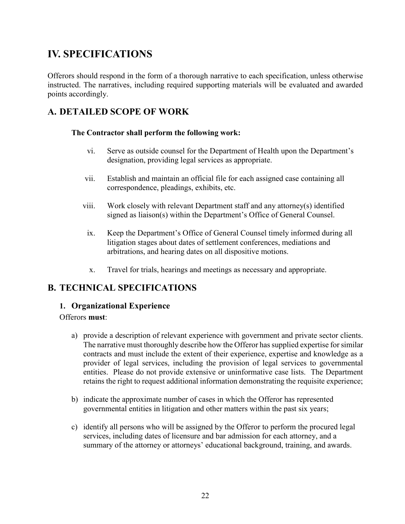# <span id="page-25-0"></span>**IV. SPECIFICATIONS**

Offerors should respond in the form of a thorough narrative to each specification, unless otherwise instructed. The narratives, including required supporting materials will be evaluated and awarded points accordingly.

# <span id="page-25-2"></span><span id="page-25-1"></span>**A. DETAILED SCOPE OF WORK**

#### **The Contractor shall perform the following work:**

- vi. Serve as outside counsel for the Department of Health upon the Department's designation, providing legal services as appropriate.
- vii. Establish and maintain an official file for each assigned case containing all correspondence, pleadings, exhibits, etc.
- viii. Work closely with relevant Department staff and any attorney(s) identified signed as liaison(s) within the Department's Office of General Counsel.
- ix. Keep the Department's Office of General Counsel timely informed during all litigation stages about dates of settlement conferences, mediations and arbitrations, and hearing dates on all dispositive motions.
- x. Travel for trials, hearings and meetings as necessary and appropriate.

# <span id="page-25-3"></span>**B. TECHNICAL SPECIFICATIONS**

#### **1. Organizational Experience**

#### Offerors **must**:

- a) provide a description of relevant experience with government and private sector clients. The narrative must thoroughly describe how the Offeror has supplied expertise for similar contracts and must include the extent of their experience, expertise and knowledge as a provider of legal services, including the provision of legal services to governmental entities. Please do not provide extensive or uninformative case lists. The Department retains the right to request additional information demonstrating the requisite experience;
- <span id="page-25-4"></span>b) indicate the approximate number of cases in which the Offeror has represented governmental entities in litigation and other matters within the past six years;
- c) identify all persons who will be assigned by the Offeror to perform the procured legal services, including dates of licensure and bar admission for each attorney, and a summary of the attorney or attorneys' educational background, training, and awards.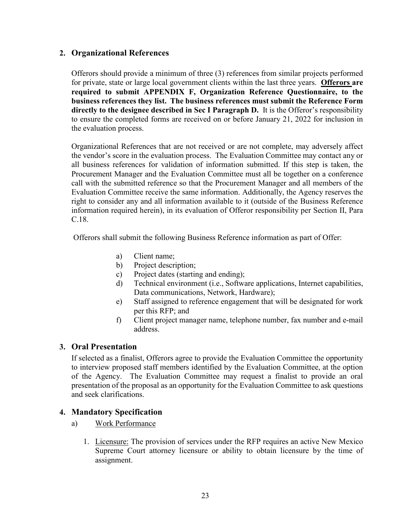#### **2. Organizational References**

Offerors should provide a minimum of three (3) references from similar projects performed for private, state or large local government clients within the last three years. **Offerors are required to submit APPENDIX F, Organization Reference Questionnaire, to the business references they list. The business references must submit the Reference Form directly to the designee described in Sec I Paragraph D.** It is the Offeror's responsibility to ensure the completed forms are received on or before January 21, 2022 for inclusion in the evaluation process.

Organizational References that are not received or are not complete, may adversely affect the vendor's score in the evaluation process. The Evaluation Committee may contact any or all business references for validation of information submitted. If this step is taken, the Procurement Manager and the Evaluation Committee must all be together on a conference call with the submitted reference so that the Procurement Manager and all members of the Evaluation Committee receive the same information. Additionally, the Agency reserves the right to consider any and all information available to it (outside of the Business Reference information required herein), in its evaluation of Offeror responsibility per Section II, Para C.18.

Offerors shall submit the following Business Reference information as part of Offer:

- a) Client name;
- b) Project description;
- c) Project dates (starting and ending);
- d) Technical environment (i.e., Software applications, Internet capabilities, Data communications, Network, Hardware);
- e) Staff assigned to reference engagement that will be designated for work per this RFP; and
- f) Client project manager name, telephone number, fax number and e-mail address.

## <span id="page-26-0"></span>**3. Oral Presentation**

If selected as a finalist, Offerors agree to provide the Evaluation Committee the opportunity to interview proposed staff members identified by the Evaluation Committee, at the option of the Agency. The Evaluation Committee may request a finalist to provide an oral presentation of the proposal as an opportunity for the Evaluation Committee to ask questions and seek clarifications.

#### <span id="page-26-1"></span>**4. Mandatory Specification**

- a) Work Performance
	- 1. Licensure: The provision of services under the RFP requires an active New Mexico Supreme Court attorney licensure or ability to obtain licensure by the time of assignment.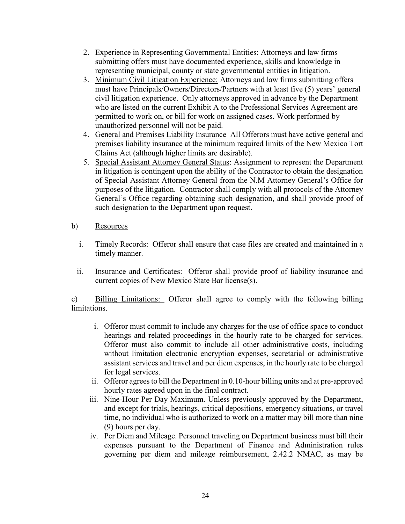- 2. Experience in Representing Governmental Entities: Attorneys and law firms submitting offers must have documented experience, skills and knowledge in representing municipal, county or state governmental entities in litigation.
- 3. Minimum Civil Litigation Experience: Attorneys and law firms submitting offers must have Principals/Owners/Directors/Partners with at least five (5) years' general civil litigation experience. Only attorneys approved in advance by the Department who are listed on the current Exhibit A to the Professional Services Agreement are permitted to work on, or bill for work on assigned cases. Work performed by unauthorized personnel will not be paid.
- 4. General and Premises Liability Insurance All Offerors must have active general and premises liability insurance at the minimum required limits of the New Mexico Tort Claims Act (although higher limits are desirable).
- 5. Special Assistant Attorney General Status: Assignment to represent the Department in litigation is contingent upon the ability of the Contractor to obtain the designation of Special Assistant Attorney General from the N.M Attorney General's Office for purposes of the litigation. Contractor shall comply with all protocols of the Attorney General's Office regarding obtaining such designation, and shall provide proof of such designation to the Department upon request.
- b) Resources
	- i. Timely Records: Offeror shall ensure that case files are created and maintained in a timely manner.
	- ii. Insurance and Certificates: Offeror shall provide proof of liability insurance and current copies of New Mexico State Bar license(s).

c) Billing Limitations: Offeror shall agree to comply with the following billing limitations.

- i. Offeror must commit to include any charges for the use of office space to conduct hearings and related proceedings in the hourly rate to be charged for services. Offeror must also commit to include all other administrative costs, including without limitation electronic encryption expenses, secretarial or administrative assistant services and travel and per diem expenses, in the hourly rate to be charged for legal services.
- ii. Offeror agrees to bill the Department in 0.10-hour billing units and at pre-approved hourly rates agreed upon in the final contract.
- iii. Nine-Hour Per Day Maximum. Unless previously approved by the Department, and except for trials, hearings, critical depositions, emergency situations, or travel time, no individual who is authorized to work on a matter may bill more than nine (9) hours per day.
- iv. Per Diem and Mileage. Personnel traveling on Department business must bill their expenses pursuant to the Department of Finance and Administration rules governing per diem and mileage reimbursement, 2.42.2 NMAC, as may be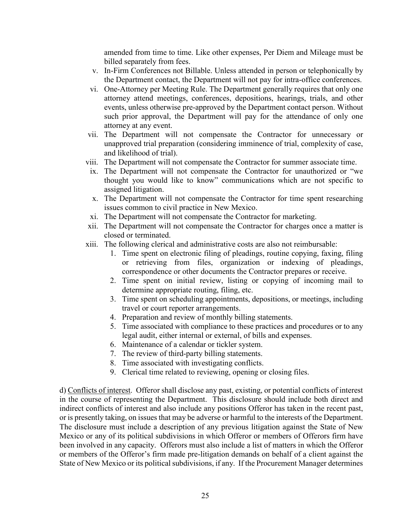amended from time to time. Like other expenses, Per Diem and Mileage must be billed separately from fees.

- v. In-Firm Conferences not Billable. Unless attended in person or telephonically by the Department contact, the Department will not pay for intra-office conferences.
- vi. One-Attorney per Meeting Rule. The Department generally requires that only one attorney attend meetings, conferences, depositions, hearings, trials, and other events, unless otherwise pre-approved by the Department contact person. Without such prior approval, the Department will pay for the attendance of only one attorney at any event.
- vii. The Department will not compensate the Contractor for unnecessary or unapproved trial preparation (considering imminence of trial, complexity of case, and likelihood of trial).
- viii. The Department will not compensate the Contractor for summer associate time.
- ix. The Department will not compensate the Contractor for unauthorized or "we thought you would like to know" communications which are not specific to assigned litigation.
- x. The Department will not compensate the Contractor for time spent researching issues common to civil practice in New Mexico.
- xi. The Department will not compensate the Contractor for marketing.
- xii. The Department will not compensate the Contractor for charges once a matter is closed or terminated.
- xiii. The following clerical and administrative costs are also not reimbursable:
	- 1. Time spent on electronic filing of pleadings, routine copying, faxing, filing or retrieving from files, organization or indexing of pleadings, correspondence or other documents the Contractor prepares or receive.
	- 2. Time spent on initial review, listing or copying of incoming mail to determine appropriate routing, filing, etc.
	- 3. Time spent on scheduling appointments, depositions, or meetings, including travel or court reporter arrangements.
	- 4. Preparation and review of monthly billing statements.
	- 5. Time associated with compliance to these practices and procedures or to any legal audit, either internal or external, of bills and expenses.
	- 6. Maintenance of a calendar or tickler system.
	- 7. The review of third-party billing statements.
	- 8. Time associated with investigating conflicts.
	- 9. Clerical time related to reviewing, opening or closing files.

d) Conflicts of interest. Offeror shall disclose any past, existing, or potential conflicts of interest in the course of representing the Department. This disclosure should include both direct and indirect conflicts of interest and also include any positions Offeror has taken in the recent past, or is presently taking, on issues that may be adverse or harmful to the interests of the Department. The disclosure must include a description of any previous litigation against the State of New Mexico or any of its political subdivisions in which Offeror or members of Offerors firm have been involved in any capacity. Offerors must also include a list of matters in which the Offeror or members of the Offeror's firm made pre-litigation demands on behalf of a client against the State of New Mexico or its political subdivisions, if any. If the Procurement Manager determines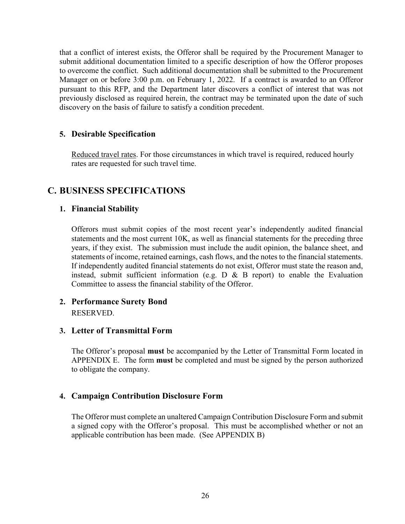that a conflict of interest exists, the Offeror shall be required by the Procurement Manager to submit additional documentation limited to a specific description of how the Offeror proposes to overcome the conflict. Such additional documentation shall be submitted to the Procurement Manager on or before 3:00 p.m. on February 1, 2022. If a contract is awarded to an Offeror pursuant to this RFP, and the Department later discovers a conflict of interest that was not previously disclosed as required herein, the contract may be terminated upon the date of such discovery on the basis of failure to satisfy a condition precedent.

## <span id="page-29-0"></span>**5. Desirable Specification**

Reduced travel rates. For those circumstances in which travel is required, reduced hourly rates are requested for such travel time.

## <span id="page-29-2"></span><span id="page-29-1"></span>**C. BUSINESS SPECIFICATIONS**

#### **1. Financial Stability**

Offerors must submit copies of the most recent year's independently audited financial statements and the most current 10K, as well as financial statements for the preceding three years, if they exist. The submission must include the audit opinion, the balance sheet, and statements of income, retained earnings, cash flows, and the notes to the financial statements. If independently audited financial statements do not exist, Offeror must state the reason and, instead, submit sufficient information (e.g.  $D \& B$  report) to enable the Evaluation Committee to assess the financial stability of the Offeror.

### <span id="page-29-3"></span>**2. Performance Surety Bond** RESERVED.

#### <span id="page-29-4"></span>**3. Letter of Transmittal Form**

The Offeror's proposal **must** be accompanied by the Letter of Transmittal Form located in APPENDIX E. The form **must** be completed and must be signed by the person authorized to obligate the company.

#### <span id="page-29-5"></span>**4. Campaign Contribution Disclosure Form**

The Offeror must complete an unaltered Campaign Contribution Disclosure Form and submit a signed copy with the Offeror's proposal. This must be accomplished whether or not an applicable contribution has been made. (See APPENDIX B)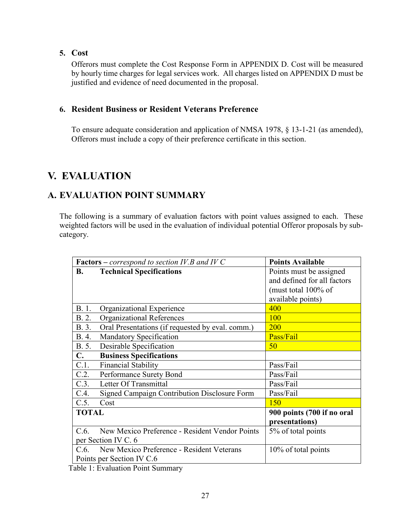### <span id="page-30-0"></span>**5. Cost**

Offerors must complete the Cost Response Form in APPENDIX D. Cost will be measured by hourly time charges for legal services work. All charges listed on APPENDIX D must be justified and evidence of need documented in the proposal.

#### <span id="page-30-1"></span>**6. Resident Business or Resident Veterans Preference**

To ensure adequate consideration and application of NMSA 1978, § 13-1-21 (as amended), Offerors must include a copy of their preference certificate in this section.

# <span id="page-30-2"></span>**V. EVALUATION**

# <span id="page-30-3"></span>**A. EVALUATION POINT SUMMARY**

The following is a summary of evaluation factors with point values assigned to each. These weighted factors will be used in the evaluation of individual potential Offeror proposals by subcategory.

| <b>Factors</b> – <i>correspond</i> to section IV.B and IV C |                                                  | <b>Points Available</b>     |
|-------------------------------------------------------------|--------------------------------------------------|-----------------------------|
| <b>B.</b>                                                   | <b>Technical Specifications</b>                  | Points must be assigned     |
|                                                             |                                                  | and defined for all factors |
|                                                             |                                                  | (must total $100\%$ of      |
|                                                             |                                                  | available points)           |
| B. 1.                                                       | Organizational Experience                        | 400                         |
| B. 2.                                                       | <b>Organizational References</b>                 | 100                         |
| B. 3.                                                       | Oral Presentations (if requested by eval. comm.) | <b>200</b>                  |
| B. 4.                                                       | <b>Mandatory Specification</b>                   | Pass/Fail                   |
| B. 5.                                                       | Desirable Specification                          | 50                          |
| $\mathbf{C}$ .                                              | <b>Business Specifications</b>                   |                             |
| C.1.                                                        | <b>Financial Stability</b>                       | Pass/Fail                   |
| C.2.                                                        | Performance Surety Bond                          | Pass/Fail                   |
| C.3.                                                        | Letter Of Transmittal                            | Pass/Fail                   |
| C.4.                                                        | Signed Campaign Contribution Disclosure Form     | Pass/Fail                   |
| C.5.                                                        | Cost                                             | 150                         |
| <b>TOTAL</b>                                                |                                                  | 900 points (700 if no oral  |
|                                                             |                                                  | presentations)              |
| C.6.                                                        | New Mexico Preference - Resident Vendor Points   | 5% of total points          |
| per Section IV C. 6                                         |                                                  |                             |
| C.6.                                                        | New Mexico Preference - Resident Veterans        | 10% of total points         |
|                                                             | Points per Section IV C.6                        |                             |

Table 1: Evaluation Point Summary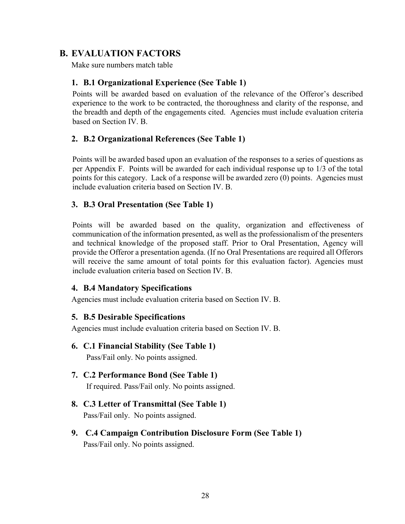# <span id="page-31-1"></span><span id="page-31-0"></span>**B. EVALUATION FACTORS**

Make sure numbers match table

### **1. B.1 Organizational Experience (See Table 1)**

Points will be awarded based on evaluation of the relevance of the Offeror's described experience to the work to be contracted, the thoroughness and clarity of the response, and the breadth and depth of the engagements cited. Agencies must include evaluation criteria based on Section IV. B.

## <span id="page-31-2"></span>**2. B.2 Organizational References (See Table 1)**

Points will be awarded based upon an evaluation of the responses to a series of questions as per Appendix F. Points will be awarded for each individual response up to 1/3 of the total points for this category. Lack of a response will be awarded zero (0) points. Agencies must include evaluation criteria based on Section IV. B.

## <span id="page-31-3"></span>**3. B.3 Oral Presentation (See Table 1)**

Points will be awarded based on the quality, organization and effectiveness of communication of the information presented, as well as the professionalism of the presenters and technical knowledge of the proposed staff. Prior to Oral Presentation, Agency will provide the Offeror a presentation agenda. (If no Oral Presentations are required all Offerors will receive the same amount of total points for this evaluation factor). Agencies must include evaluation criteria based on Section IV. B.

#### <span id="page-31-4"></span>**4. B.4 Mandatory Specifications**

<span id="page-31-5"></span>Agencies must include evaluation criteria based on Section IV. B.

#### **5. B.5 Desirable Specifications**

Agencies must include evaluation criteria based on Section IV. B.

<span id="page-31-6"></span>**6. C.1 Financial Stability (See Table 1)**

Pass/Fail only. No points assigned.

<span id="page-31-7"></span>**7. C.2 Performance Bond (See Table 1)**

If required. Pass/Fail only. No points assigned.

- <span id="page-31-8"></span>**8. C.3 Letter of Transmittal (See Table 1)** Pass/Fail only. No points assigned.
- <span id="page-31-9"></span>**9. C.4 Campaign Contribution Disclosure Form (See Table 1)** Pass/Fail only. No points assigned.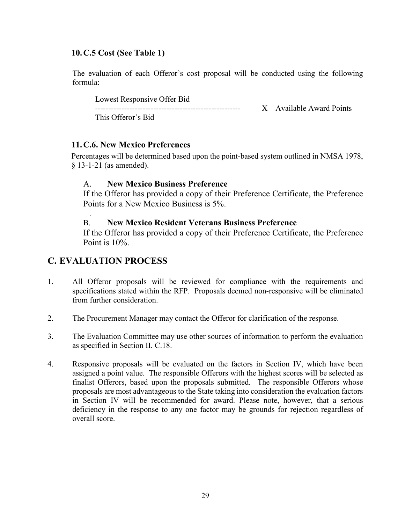### <span id="page-32-0"></span>**10.C.5 Cost (See Table 1)**

The evaluation of each Offeror's cost proposal will be conducted using the following formula:

Lowest Responsive Offer Bid

------------------------------------------------------- X Available Award Points

This Offeror's Bid

### <span id="page-32-1"></span>**11.C.6. New Mexico Preferences**

Percentages will be determined based upon the point-based system outlined in NMSA 1978, § 13-1-21 (as amended).

### A. **New Mexico Business Preference**

If the Offeror has provided a copy of their Preference Certificate, the Preference Points for a New Mexico Business is 5%.

## B. **New Mexico Resident Veterans Business Preference**

If the Offeror has provided a copy of their Preference Certificate, the Preference Point is 10%.

# <span id="page-32-2"></span>**C. EVALUATION PROCESS**

.

- 1. All Offeror proposals will be reviewed for compliance with the requirements and specifications stated within the RFP. Proposals deemed non-responsive will be eliminated from further consideration.
- 2. The Procurement Manager may contact the Offeror for clarification of the response.
- 3. The Evaluation Committee may use other sources of information to perform the evaluation as specified in Section II. C.18.
- 4. Responsive proposals will be evaluated on the factors in Section IV, which have been assigned a point value. The responsible Offerors with the highest scores will be selected as finalist Offerors, based upon the proposals submitted. The responsible Offerors whose proposals are most advantageous to the State taking into consideration the evaluation factors in Section IV will be recommended for award. Please note, however, that a serious deficiency in the response to any one factor may be grounds for rejection regardless of overall score.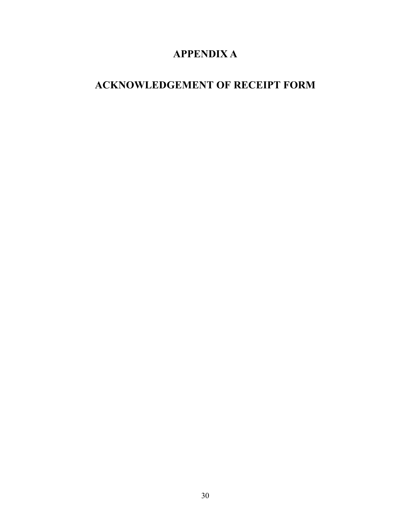# **APPENDIX A**

# <span id="page-33-1"></span><span id="page-33-0"></span>**ACKNOWLEDGEMENT OF RECEIPT FORM**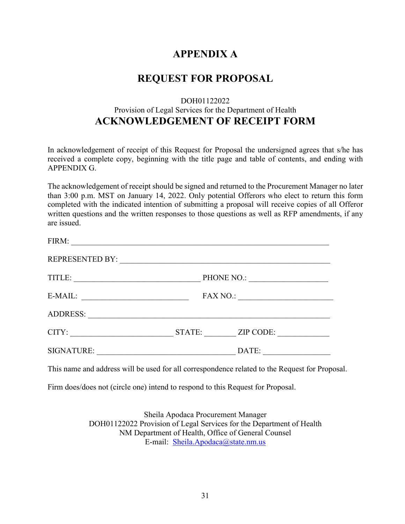# **APPENDIX A**

# **REQUEST FOR PROPOSAL**

## DOH01122022 Provision of Legal Services for the Department of Health **ACKNOWLEDGEMENT OF RECEIPT FORM**

In acknowledgement of receipt of this Request for Proposal the undersigned agrees that s/he has received a complete copy, beginning with the title page and table of contents, and ending with APPENDIX G.

The acknowledgement of receipt should be signed and returned to the Procurement Manager no later than 3:00 p.m. MST on January 14, 2022. Only potential Offerors who elect to return this form completed with the indicated intention of submitting a proposal will receive copies of all Offeror written questions and the written responses to those questions as well as RFP amendments, if any are issued.

| FIRM:                  |                 |                  |
|------------------------|-----------------|------------------|
| <b>REPRESENTED BY:</b> |                 |                  |
| TITLE:                 | PHONE NO.:      |                  |
| E-MAIL:                | <b>FAX NO.:</b> |                  |
| <b>ADDRESS:</b>        |                 |                  |
| CITY:                  | STATE:          | <b>ZIP CODE:</b> |
| <b>SIGNATURE:</b>      |                 | DATE:            |

This name and address will be used for all correspondence related to the Request for Proposal.

Firm does/does not (circle one) intend to respond to this Request for Proposal.

<span id="page-34-0"></span>Sheila Apodaca Procurement Manager DOH01122022 Provision of Legal Services for the Department of Health NM Department of Health, Office of General Counsel E-mail: [Sheila.Apodaca@state.nm.us](mailto:Sheila.Apodaca@state.nm.us)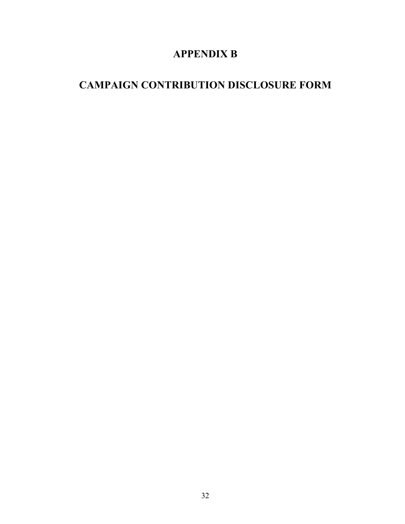# **APPENDIX B**

# <span id="page-35-0"></span>**CAMPAIGN CONTRIBUTION DISCLOSURE FORM**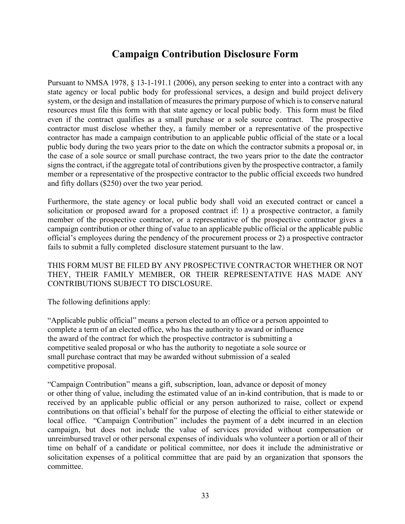### **Campaign Contribution Disclosure Form**

Pursuant to NMSA 1978, § 13-1-191.1 (2006), any person seeking to enter into a contract with any state agency or local public body for professional services, a design and build project delivery system, or the design and installation of measures the primary purpose of which is to conserve natural resources must file this form with that state agency or local public body. This form must be filed even if the contract qualifies as a small purchase or a sole source contract. The prospective contractor must disclose whether they, a family member or a representative of the prospective contractor has made a campaign contribution to an applicable public official of the state or a local public body during the two years prior to the date on which the contractor submits a proposal or, in the case of a sole source or small purchase contract, the two years prior to the date the contractor signs the contract, if the aggregate total of contributions given by the prospective contractor, a family member or a representative of the prospective contractor to the public official exceeds two hundred and fifty dollars (\$250) over the two year period.

Furthermore, the state agency or local public body shall void an executed contract or cancel a solicitation or proposed award for a proposed contract if: 1) a prospective contractor, a family member of the prospective contractor, or a representative of the prospective contractor gives a campaign contribution or other thing of value to an applicable public official or the applicable public official's employees during the pendency of the procurement process or 2) a prospective contractor fails to submit a fully completed disclosure statement pursuant to the law.

THIS FORM MUST BE FILED BY ANY PROSPECTIVE CONTRACTOR WHETHER OR NOT THEY, THEIR FAMILY MEMBER, OR THEIR REPRESENTATIVE HAS MADE ANY CONTRIBUTIONS SUBJECT TO DISCLOSURE.

The following definitions apply:

"Applicable public official" means a person elected to an office or a person appointed to complete a term of an elected office, who has the authority to award or influence the award of the contract for which the prospective contractor is submitting a competitive sealed proposal or who has the authority to negotiate a sole source or small purchase contract that may be awarded without submission of a sealed competitive proposal.

"Campaign Contribution" means a gift, subscription, loan, advance or deposit of money or other thing of value, including the estimated value of an in-kind contribution, that is made to or received by an applicable public official or any person authorized to raise, collect or expend contributions on that official's behalf for the purpose of electing the official to either statewide or local office. "Campaign Contribution" includes the payment of a debt incurred in an election campaign, but does not include the value of services provided without compensation or unreimbursed travel or other personal expenses of individuals who volunteer a portion or all of their time on behalf of a candidate or political committee, nor does it include the administrative or solicitation expenses of a political committee that are paid by an organization that sponsors the committee.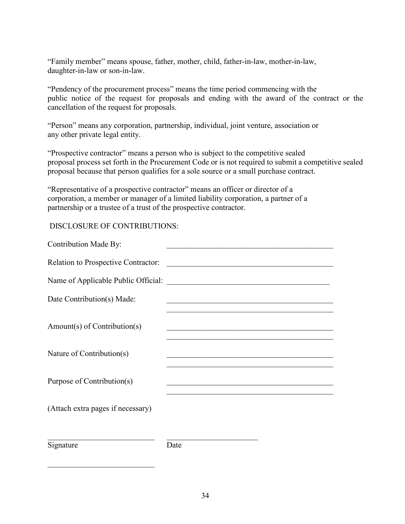"Family member" means spouse, father, mother, child, father-in-law, mother-in-law, daughter-in-law or son-in-law.

"Pendency of the procurement process" means the time period commencing with the public notice of the request for proposals and ending with the award of the contract or the cancellation of the request for proposals.

"Person" means any corporation, partnership, individual, joint venture, association or any other private legal entity.

"Prospective contractor" means a person who is subject to the competitive sealed proposal process set forth in the Procurement Code or is not required to submit a competitive sealed proposal because that person qualifies for a sole source or a small purchase contract.

"Representative of a prospective contractor" means an officer or director of a corporation, a member or manager of a limited liability corporation, a partner of a partnership or a trustee of a trust of the prospective contractor.

### DISCLOSURE OF CONTRIBUTIONS:

\_\_\_\_\_\_\_\_\_\_\_\_\_\_\_\_\_\_\_\_\_\_\_\_\_\_\_

| <b>Contribution Made By:</b>        |                                                                                                                               |  |
|-------------------------------------|-------------------------------------------------------------------------------------------------------------------------------|--|
| Relation to Prospective Contractor: |                                                                                                                               |  |
| Name of Applicable Public Official: | <u> Alexandria de la contrada de la contrada de la contrada de la contrada de la contrada de la contrada de la c</u>          |  |
| Date Contribution(s) Made:          |                                                                                                                               |  |
| Amount(s) of Contribution(s)        | <u> 2008 - Johann John Stone, mars an deus Amerikaansk kommunister (</u>                                                      |  |
| Nature of Contribution(s)           |                                                                                                                               |  |
| Purpose of Contribution(s)          | <u> 1950 - Johann John Stone, mars et al. 1950 - John Stone, mars et al. 1950 - John Stone, mars et al. 1950 - John Stone</u> |  |
| (Attach extra pages if necessary)   |                                                                                                                               |  |
| Signature                           | Date                                                                                                                          |  |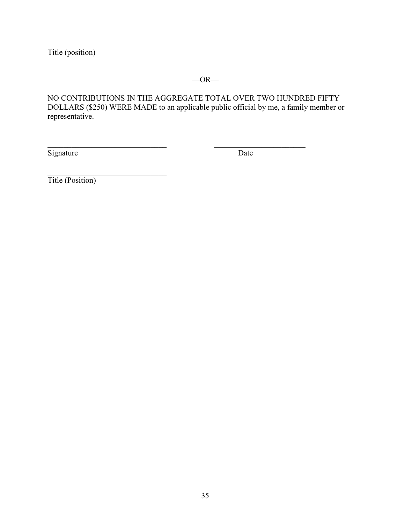Title (position)

### $-OR-$

NO CONTRIBUTIONS IN THE AGGREGATE TOTAL OVER TWO HUNDRED FIFTY DOLLARS (\$250) WERE MADE to an applicable public official by me, a family member or representative.

 $\mathcal{L}_\text{max}$  , and the contribution of the contribution of  $\mathcal{L}_\text{max}$  , and the contribution of  $\mathcal{L}_\text{max}$ 

Signature Date

 $\overline{\phantom{a}}$ Title (Position)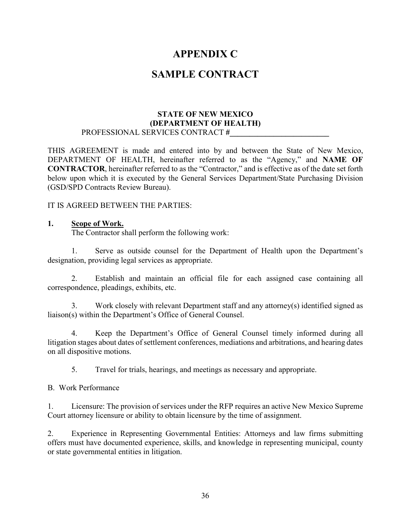### **APPENDIX C**

### **SAMPLE CONTRACT**

#### **STATE OF NEW MEXICO (DEPARTMENT OF HEALTH)** PROFESSIONAL SERVICES CONTRACT **#\_\_\_\_\_\_\_\_\_\_\_\_\_\_\_\_\_\_\_\_\_\_\_\_\_**

THIS AGREEMENT is made and entered into by and between the State of New Mexico, DEPARTMENT OF HEALTH, hereinafter referred to as the "Agency," and **NAME OF CONTRACTOR**, hereinafter referred to as the "Contractor," and is effective as of the date set forth below upon which it is executed by the General Services Department/State Purchasing Division (GSD/SPD Contracts Review Bureau).

IT IS AGREED BETWEEN THE PARTIES:

### **1. Scope of Work.**

The Contractor shall perform the following work:

1. Serve as outside counsel for the Department of Health upon the Department's designation, providing legal services as appropriate.

2. Establish and maintain an official file for each assigned case containing all correspondence, pleadings, exhibits, etc.

3. Work closely with relevant Department staff and any attorney(s) identified signed as liaison(s) within the Department's Office of General Counsel.

4. Keep the Department's Office of General Counsel timely informed during all litigation stages about dates of settlement conferences, mediations and arbitrations, and hearing dates on all dispositive motions.

5. Travel for trials, hearings, and meetings as necessary and appropriate.

B. Work Performance

1. Licensure: The provision of services under the RFP requires an active New Mexico Supreme Court attorney licensure or ability to obtain licensure by the time of assignment.

2. Experience in Representing Governmental Entities: Attorneys and law firms submitting offers must have documented experience, skills, and knowledge in representing municipal, county or state governmental entities in litigation.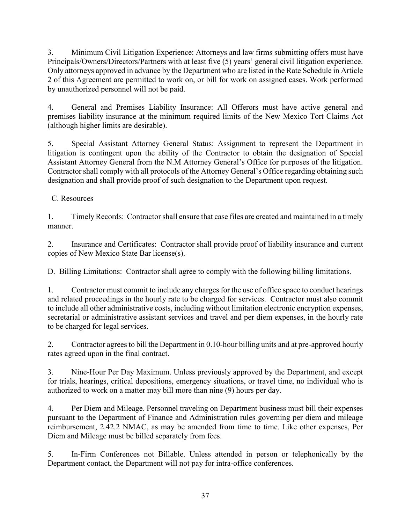3. Minimum Civil Litigation Experience: Attorneys and law firms submitting offers must have Principals/Owners/Directors/Partners with at least five (5) years' general civil litigation experience. Only attorneys approved in advance by the Department who are listed in the Rate Schedule in Article 2 of this Agreement are permitted to work on, or bill for work on assigned cases. Work performed by unauthorized personnel will not be paid.

4. General and Premises Liability Insurance: All Offerors must have active general and premises liability insurance at the minimum required limits of the New Mexico Tort Claims Act (although higher limits are desirable).

5. Special Assistant Attorney General Status: Assignment to represent the Department in litigation is contingent upon the ability of the Contractor to obtain the designation of Special Assistant Attorney General from the N.M Attorney General's Office for purposes of the litigation. Contractor shall comply with all protocols of the Attorney General's Office regarding obtaining such designation and shall provide proof of such designation to the Department upon request.

C. Resources

1. Timely Records: Contractorshall ensure that case files are created and maintained in a timely manner.

2. Insurance and Certificates: Contractor shall provide proof of liability insurance and current copies of New Mexico State Bar license(s).

D. Billing Limitations: Contractor shall agree to comply with the following billing limitations.

1. Contractor must commit to include any charges for the use of office space to conduct hearings and related proceedings in the hourly rate to be charged for services. Contractor must also commit to include all other administrative costs, including without limitation electronic encryption expenses, secretarial or administrative assistant services and travel and per diem expenses, in the hourly rate to be charged for legal services.

2. Contractor agrees to bill the Department in 0.10-hour billing units and at pre-approved hourly rates agreed upon in the final contract.

3. Nine-Hour Per Day Maximum. Unless previously approved by the Department, and except for trials, hearings, critical depositions, emergency situations, or travel time, no individual who is authorized to work on a matter may bill more than nine (9) hours per day.

4. Per Diem and Mileage. Personnel traveling on Department business must bill their expenses pursuant to the Department of Finance and Administration rules governing per diem and mileage reimbursement, 2.42.2 NMAC, as may be amended from time to time. Like other expenses, Per Diem and Mileage must be billed separately from fees.

5. In-Firm Conferences not Billable. Unless attended in person or telephonically by the Department contact, the Department will not pay for intra-office conferences.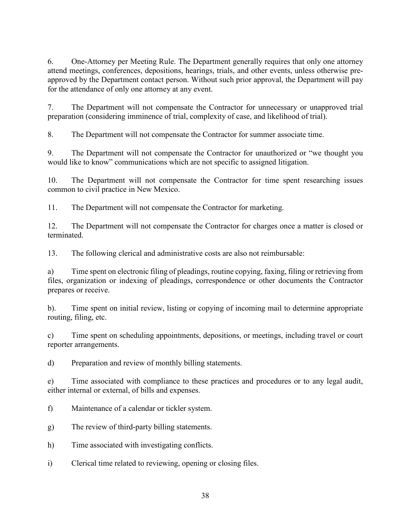6. One-Attorney per Meeting Rule. The Department generally requires that only one attorney attend meetings, conferences, depositions, hearings, trials, and other events, unless otherwise preapproved by the Department contact person. Without such prior approval, the Department will pay for the attendance of only one attorney at any event.

7. The Department will not compensate the Contractor for unnecessary or unapproved trial preparation (considering imminence of trial, complexity of case, and likelihood of trial).

8. The Department will not compensate the Contractor for summer associate time.

9. The Department will not compensate the Contractor for unauthorized or "we thought you would like to know" communications which are not specific to assigned litigation.

10. The Department will not compensate the Contractor for time spent researching issues common to civil practice in New Mexico.

11. The Department will not compensate the Contractor for marketing.

12. The Department will not compensate the Contractor for charges once a matter is closed or terminated.

13. The following clerical and administrative costs are also not reimbursable:

a) Time spent on electronic filing of pleadings, routine copying, faxing, filing or retrieving from files, organization or indexing of pleadings, correspondence or other documents the Contractor prepares or receive.

b). Time spent on initial review, listing or copying of incoming mail to determine appropriate routing, filing, etc.

c) Time spent on scheduling appointments, depositions, or meetings, including travel or court reporter arrangements.

d) Preparation and review of monthly billing statements.

e) Time associated with compliance to these practices and procedures or to any legal audit, either internal or external, of bills and expenses.

- f) Maintenance of a calendar or tickler system.
- g) The review of third-party billing statements.
- h) Time associated with investigating conflicts.
- i) Clerical time related to reviewing, opening or closing files.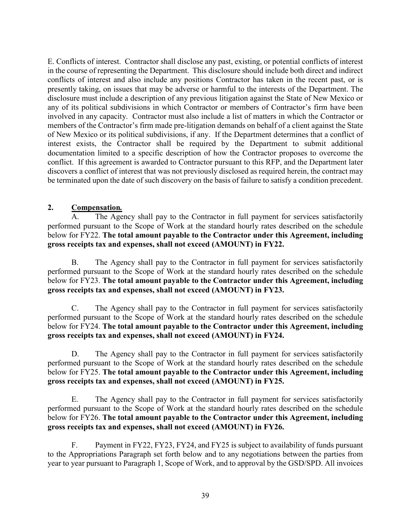E. Conflicts of interest. Contractor shall disclose any past, existing, or potential conflicts of interest in the course of representing the Department. This disclosure should include both direct and indirect conflicts of interest and also include any positions Contractor has taken in the recent past, or is presently taking, on issues that may be adverse or harmful to the interests of the Department. The disclosure must include a description of any previous litigation against the State of New Mexico or any of its political subdivisions in which Contractor or members of Contractor's firm have been involved in any capacity. Contractor must also include a list of matters in which the Contractor or members of the Contractor's firm made pre-litigation demands on behalf of a client against the State of New Mexico or its political subdivisions, if any. If the Department determines that a conflict of interest exists, the Contractor shall be required by the Department to submit additional documentation limited to a specific description of how the Contractor proposes to overcome the conflict. If this agreement is awarded to Contractor pursuant to this RFP, and the Department later discovers a conflict of interest that was not previously disclosed as required herein, the contract may be terminated upon the date of such discovery on the basis of failure to satisfy a condition precedent.

### **2. Compensation***.*

A. The Agency shall pay to the Contractor in full payment for services satisfactorily performed pursuant to the Scope of Work at the standard hourly rates described on the schedule below for FY22. **The total amount payable to the Contractor under this Agreement, including gross receipts tax and expenses, shall not exceed (AMOUNT) in FY22.**

B. The Agency shall pay to the Contractor in full payment for services satisfactorily performed pursuant to the Scope of Work at the standard hourly rates described on the schedule below for FY23. **The total amount payable to the Contractor under this Agreement, including gross receipts tax and expenses, shall not exceed (AMOUNT) in FY23.**

C. The Agency shall pay to the Contractor in full payment for services satisfactorily performed pursuant to the Scope of Work at the standard hourly rates described on the schedule below for FY24. **The total amount payable to the Contractor under this Agreement, including gross receipts tax and expenses, shall not exceed (AMOUNT) in FY24.**

D. The Agency shall pay to the Contractor in full payment for services satisfactorily performed pursuant to the Scope of Work at the standard hourly rates described on the schedule below for FY25. **The total amount payable to the Contractor under this Agreement, including gross receipts tax and expenses, shall not exceed (AMOUNT) in FY25.**

E. The Agency shall pay to the Contractor in full payment for services satisfactorily performed pursuant to the Scope of Work at the standard hourly rates described on the schedule below for FY26. **The total amount payable to the Contractor under this Agreement, including gross receipts tax and expenses, shall not exceed (AMOUNT) in FY26.**

F. Payment in FY22, FY23, FY24, and FY25 is subject to availability of funds pursuant to the Appropriations Paragraph set forth below and to any negotiations between the parties from year to year pursuant to Paragraph 1, Scope of Work, and to approval by the GSD/SPD. All invoices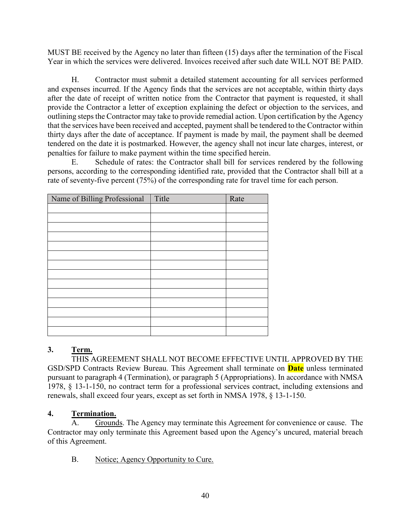MUST BE received by the Agency no later than fifteen (15) days after the termination of the Fiscal Year in which the services were delivered. Invoices received after such date WILL NOT BE PAID.

H. Contractor must submit a detailed statement accounting for all services performed and expenses incurred. If the Agency finds that the services are not acceptable, within thirty days after the date of receipt of written notice from the Contractor that payment is requested, it shall provide the Contractor a letter of exception explaining the defect or objection to the services, and outlining steps the Contractor may take to provide remedial action. Upon certification by the Agency that the services have been received and accepted, payment shall be tendered to the Contractor within thirty days after the date of acceptance. If payment is made by mail, the payment shall be deemed tendered on the date it is postmarked. However, the agency shall not incur late charges, interest, or penalties for failure to make payment within the time specified herein.

E. Schedule of rates: the Contractor shall bill for services rendered by the following persons, according to the corresponding identified rate, provided that the Contractor shall bill at a rate of seventy-five percent (75%) of the corresponding rate for travel time for each person.

| Name of Billing Professional | Title | Rate |
|------------------------------|-------|------|
|                              |       |      |
|                              |       |      |
|                              |       |      |
|                              |       |      |
|                              |       |      |
|                              |       |      |
|                              |       |      |
|                              |       |      |
|                              |       |      |
|                              |       |      |
|                              |       |      |
|                              |       |      |
|                              |       |      |
|                              |       |      |

### **3. Term.**

THIS AGREEMENT SHALL NOT BECOME EFFECTIVE UNTIL APPROVED BY THE GSD/SPD Contracts Review Bureau. This Agreement shall terminate on **Date** unless terminated pursuant to paragraph 4 (Termination), or paragraph 5 (Appropriations). In accordance with NMSA 1978, § 13-1-150, no contract term for a professional services contract, including extensions and renewals, shall exceed four years, except as set forth in NMSA 1978, § 13-1-150.

### **4. Termination.**

A. Grounds. The Agency may terminate this Agreement for convenience or cause. The Contractor may only terminate this Agreement based upon the Agency's uncured, material breach of this Agreement.

B. Notice; Agency Opportunity to Cure.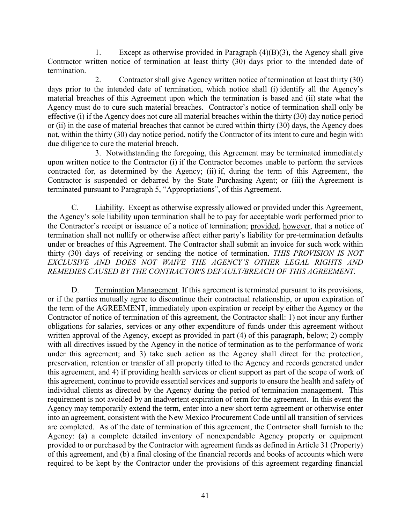1. Except as otherwise provided in Paragraph  $(4)(B)(3)$ , the Agency shall give Contractor written notice of termination at least thirty (30) days prior to the intended date of termination.

2. Contractor shall give Agency written notice of termination at least thirty (30) days prior to the intended date of termination, which notice shall (i) identify all the Agency's material breaches of this Agreement upon which the termination is based and (ii) state what the Agency must do to cure such material breaches. Contractor's notice of termination shall only be effective (i) if the Agency does not cure all material breaches within the thirty (30) day notice period or (ii) in the case of material breaches that cannot be cured within thirty (30) days, the Agency does not, within the thirty (30) day notice period, notify the Contractor of its intent to cure and begin with due diligence to cure the material breach.

3. Notwithstanding the foregoing, this Agreement may be terminated immediately upon written notice to the Contractor (i) if the Contractor becomes unable to perform the services contracted for, as determined by the Agency; (ii) if, during the term of this Agreement, the Contractor is suspended or debarred by the State Purchasing Agent; or (iii) the Agreement is terminated pursuant to Paragraph 5, "Appropriations", of this Agreement.

C. Liability. Except as otherwise expressly allowed or provided under this Agreement, the Agency's sole liability upon termination shall be to pay for acceptable work performed prior to the Contractor's receipt or issuance of a notice of termination; provided, however, that a notice of termination shall not nullify or otherwise affect either party's liability for pre-termination defaults under or breaches of this Agreement. The Contractor shall submit an invoice for such work within thirty (30) days of receiving or sending the notice of termination. *THIS PROVISION IS NOT EXCLUSIVE AND DOES NOT WAIVE THE AGENCY'S OTHER LEGAL RIGHTS AND REMEDIES CAUSED BY THE CONTRACTOR'S DEFAULT/BREACH OF THIS AGREEMENT.*

D. Termination Management. If this agreement is terminated pursuant to its provisions, or if the parties mutually agree to discontinue their contractual relationship, or upon expiration of the term of the AGREEMENT, immediately upon expiration or receipt by either the Agency or the Contractor of notice of termination of this agreement, the Contractor shall: 1) not incur any further obligations for salaries, services or any other expenditure of funds under this agreement without written approval of the Agency, except as provided in part (4) of this paragraph, below; 2) comply with all directives issued by the Agency in the notice of termination as to the performance of work under this agreement; and 3) take such action as the Agency shall direct for the protection, preservation, retention or transfer of all property titled to the Agency and records generated under this agreement, and 4) if providing health services or client support as part of the scope of work of this agreement, continue to provide essential services and supports to ensure the health and safety of individual clients as directed by the Agency during the period of termination management. This requirement is not avoided by an inadvertent expiration of term for the agreement. In this event the Agency may temporarily extend the term, enter into a new short term agreement or otherwise enter into an agreement, consistent with the New Mexico Procurement Code until all transition of services are completed. As of the date of termination of this agreement, the Contractor shall furnish to the Agency: (a) a complete detailed inventory of nonexpendable Agency property or equipment provided to or purchased by the Contractor with agreement funds as defined in Article 31 (Property) of this agreement, and (b) a final closing of the financial records and books of accounts which were required to be kept by the Contractor under the provisions of this agreement regarding financial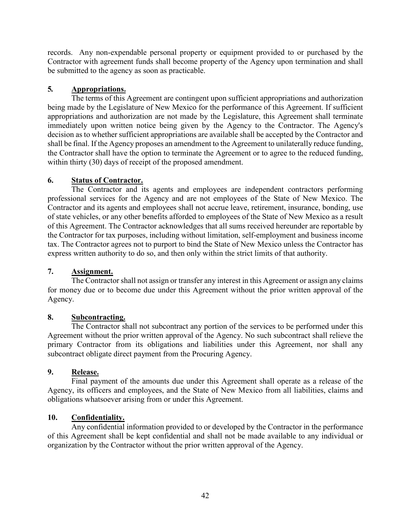records. Any non-expendable personal property or equipment provided to or purchased by the Contractor with agreement funds shall become property of the Agency upon termination and shall be submitted to the agency as soon as practicable.

### **5***.* **Appropriations.**

The terms of this Agreement are contingent upon sufficient appropriations and authorization being made by the Legislature of New Mexico for the performance of this Agreement. If sufficient appropriations and authorization are not made by the Legislature, this Agreement shall terminate immediately upon written notice being given by the Agency to the Contractor. The Agency's decision as to whether sufficient appropriations are available shall be accepted by the Contractor and shall be final. If the Agency proposes an amendment to the Agreement to unilaterally reduce funding, the Contractor shall have the option to terminate the Agreement or to agree to the reduced funding, within thirty (30) days of receipt of the proposed amendment.

### **6. Status of Contractor.**

The Contractor and its agents and employees are independent contractors performing professional services for the Agency and are not employees of the State of New Mexico. The Contractor and its agents and employees shall not accrue leave, retirement, insurance, bonding, use of state vehicles, or any other benefits afforded to employees of the State of New Mexico as a result of this Agreement. The Contractor acknowledges that all sums received hereunder are reportable by the Contractor for tax purposes, including without limitation, self-employment and business income tax. The Contractor agrees not to purport to bind the State of New Mexico unless the Contractor has express written authority to do so, and then only within the strict limits of that authority.

### **7. Assignment.**

The Contractor shall not assign or transfer any interest in this Agreement or assign any claims for money due or to become due under this Agreement without the prior written approval of the Agency.

### **8. Subcontracting.**

The Contractor shall not subcontract any portion of the services to be performed under this Agreement without the prior written approval of the Agency. No such subcontract shall relieve the primary Contractor from its obligations and liabilities under this Agreement, nor shall any subcontract obligate direct payment from the Procuring Agency.

### **9. Release.**

Final payment of the amounts due under this Agreement shall operate as a release of the Agency, its officers and employees, and the State of New Mexico from all liabilities, claims and obligations whatsoever arising from or under this Agreement.

### **10. Confidentiality.**

Any confidential information provided to or developed by the Contractor in the performance of this Agreement shall be kept confidential and shall not be made available to any individual or organization by the Contractor without the prior written approval of the Agency.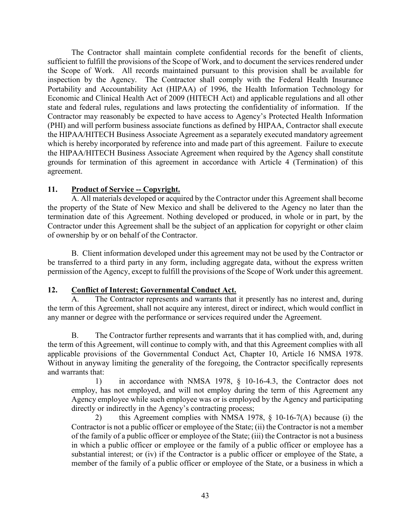The Contractor shall maintain complete confidential records for the benefit of clients, sufficient to fulfill the provisions of the Scope of Work, and to document the services rendered under the Scope of Work. All records maintained pursuant to this provision shall be available for inspection by the Agency. The Contractor shall comply with the Federal Health Insurance Portability and Accountability Act (HIPAA) of 1996, the Health Information Technology for Economic and Clinical Health Act of 2009 (HITECH Act) and applicable regulations and all other state and federal rules, regulations and laws protecting the confidentiality of information. If the Contractor may reasonably be expected to have access to Agency's Protected Health Information (PHI) and will perform business associate functions as defined by HIPAA, Contractor shall execute the HIPAA/HITECH Business Associate Agreement as a separately executed mandatory agreement which is hereby incorporated by reference into and made part of this agreement. Failure to execute the HIPAA/HITECH Business Associate Agreement when required by the Agency shall constitute grounds for termination of this agreement in accordance with Article 4 (Termination) of this agreement.

### **11. Product of Service -- Copyright.**

A. All materials developed or acquired by the Contractor under this Agreement shall become the property of the State of New Mexico and shall be delivered to the Agency no later than the termination date of this Agreement. Nothing developed or produced, in whole or in part, by the Contractor under this Agreement shall be the subject of an application for copyright or other claim of ownership by or on behalf of the Contractor.

B. Client information developed under this agreement may not be used by the Contractor or be transferred to a third party in any form, including aggregate data, without the express written permission of the Agency, except to fulfill the provisions of the Scope of Work under this agreement.

### **12. Conflict of Interest; Governmental Conduct Act.**

A. The Contractor represents and warrants that it presently has no interest and, during the term of this Agreement, shall not acquire any interest, direct or indirect, which would conflict in any manner or degree with the performance or services required under the Agreement.

B. The Contractor further represents and warrants that it has complied with, and, during the term of this Agreement, will continue to comply with, and that this Agreement complies with all applicable provisions of the Governmental Conduct Act, Chapter 10, Article 16 NMSA 1978. Without in anyway limiting the generality of the foregoing, the Contractor specifically represents and warrants that:

1) in accordance with NMSA 1978, § 10-16-4.3, the Contractor does not employ, has not employed, and will not employ during the term of this Agreement any Agency employee while such employee was or is employed by the Agency and participating directly or indirectly in the Agency's contracting process;

2) this Agreement complies with NMSA 1978, § 10-16-7(A) because (i) the Contractor is not a public officer or employee of the State; (ii) the Contractor is not a member of the family of a public officer or employee of the State; (iii) the Contractor is not a business in which a public officer or employee or the family of a public officer or employee has a substantial interest; or (iv) if the Contractor is a public officer or employee of the State, a member of the family of a public officer or employee of the State, or a business in which a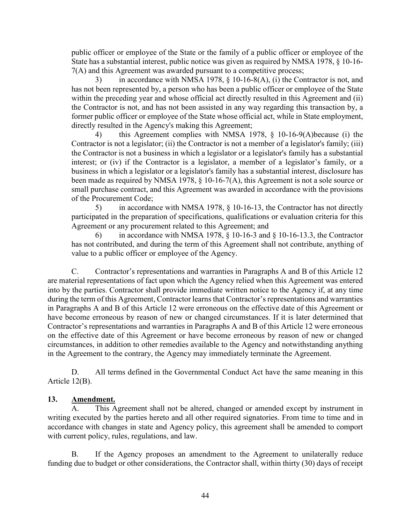public officer or employee of the State or the family of a public officer or employee of the State has a substantial interest, public notice was given as required by NMSA 1978, § 10-16- 7(A) and this Agreement was awarded pursuant to a competitive process;

in accordance with NMSA 1978,  $\S$  10-16-8(A), (i) the Contractor is not, and has not been represented by, a person who has been a public officer or employee of the State within the preceding year and whose official act directly resulted in this Agreement and (ii) the Contractor is not, and has not been assisted in any way regarding this transaction by, a former public officer or employee of the State whose official act, while in State employment, directly resulted in the Agency's making this Agreement;

this Agreement complies with NMSA 1978,  $\S$  10-16-9(A)because (i) the Contractor is not a legislator; (ii) the Contractor is not a member of a legislator's family; (iii) the Contractor is not a business in which a legislator or a legislator's family has a substantial interest; or (iv) if the Contractor is a legislator, a member of a legislator's family, or a business in which a legislator or a legislator's family has a substantial interest, disclosure has been made as required by NMSA 1978, § 10-16-7(A), this Agreement is not a sole source or small purchase contract, and this Agreement was awarded in accordance with the provisions of the Procurement Code;

5) in accordance with NMSA 1978, § 10-16-13, the Contractor has not directly participated in the preparation of specifications, qualifications or evaluation criteria for this Agreement or any procurement related to this Agreement; and

in accordance with NMSA 1978,  $\S$  10-16-3 and  $\S$  10-16-13.3, the Contractor has not contributed, and during the term of this Agreement shall not contribute, anything of value to a public officer or employee of the Agency.

C. Contractor's representations and warranties in Paragraphs A and B of this Article 12 are material representations of fact upon which the Agency relied when this Agreement was entered into by the parties. Contractor shall provide immediate written notice to the Agency if, at any time during the term of this Agreement, Contractor learns that Contractor's representations and warranties in Paragraphs A and B of this Article 12 were erroneous on the effective date of this Agreement or have become erroneous by reason of new or changed circumstances. If it is later determined that Contractor's representations and warranties in Paragraphs A and B of this Article 12 were erroneous on the effective date of this Agreement or have become erroneous by reason of new or changed circumstances, in addition to other remedies available to the Agency and notwithstanding anything in the Agreement to the contrary, the Agency may immediately terminate the Agreement.

D. All terms defined in the Governmental Conduct Act have the same meaning in this Article 12(B).

### **13. Amendment.**

A. This Agreement shall not be altered, changed or amended except by instrument in writing executed by the parties hereto and all other required signatories. From time to time and in accordance with changes in state and Agency policy, this agreement shall be amended to comport with current policy, rules, regulations, and law.

B. If the Agency proposes an amendment to the Agreement to unilaterally reduce funding due to budget or other considerations, the Contractor shall, within thirty (30) days of receipt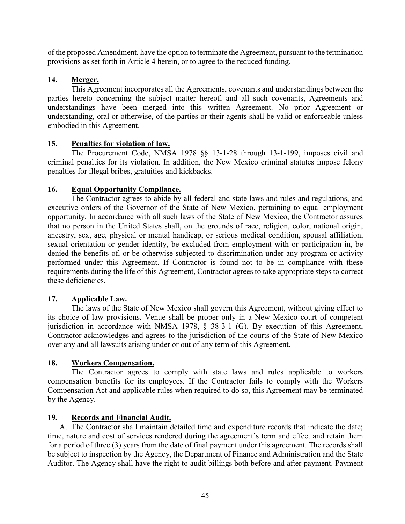of the proposed Amendment, have the option to terminate the Agreement, pursuant to the termination provisions as set forth in Article 4 herein, or to agree to the reduced funding.

### **14. Merger.**

This Agreement incorporates all the Agreements, covenants and understandings between the parties hereto concerning the subject matter hereof, and all such covenants, Agreements and understandings have been merged into this written Agreement. No prior Agreement or understanding, oral or otherwise, of the parties or their agents shall be valid or enforceable unless embodied in this Agreement.

### **15. Penalties for violation of law.**

The Procurement Code, NMSA 1978 §§ 13-1-28 through 13-1-199, imposes civil and criminal penalties for its violation. In addition, the New Mexico criminal statutes impose felony penalties for illegal bribes, gratuities and kickbacks.

### **16. Equal Opportunity Compliance.**

The Contractor agrees to abide by all federal and state laws and rules and regulations, and executive orders of the Governor of the State of New Mexico, pertaining to equal employment opportunity. In accordance with all such laws of the State of New Mexico, the Contractor assures that no person in the United States shall, on the grounds of race, religion, color, national origin, ancestry, sex, age, physical or mental handicap, or serious medical condition, spousal affiliation, sexual orientation or gender identity, be excluded from employment with or participation in, be denied the benefits of, or be otherwise subjected to discrimination under any program or activity performed under this Agreement. If Contractor is found not to be in compliance with these requirements during the life of this Agreement, Contractor agrees to take appropriate steps to correct these deficiencies.

### **17. Applicable Law.**

The laws of the State of New Mexico shall govern this Agreement, without giving effect to its choice of law provisions. Venue shall be proper only in a New Mexico court of competent jurisdiction in accordance with NMSA 1978, § 38-3-1 (G). By execution of this Agreement, Contractor acknowledges and agrees to the jurisdiction of the courts of the State of New Mexico over any and all lawsuits arising under or out of any term of this Agreement.

### **18. Workers Compensation.**

The Contractor agrees to comply with state laws and rules applicable to workers compensation benefits for its employees. If the Contractor fails to comply with the Workers Compensation Act and applicable rules when required to do so, this Agreement may be terminated by the Agency.

### **19***.* **Records and Financial Audit.**

A. The Contractor shall maintain detailed time and expenditure records that indicate the date; time, nature and cost of services rendered during the agreement's term and effect and retain them for a period of three (3) years from the date of final payment under this agreement. The records shall be subject to inspection by the Agency, the Department of Finance and Administration and the State Auditor. The Agency shall have the right to audit billings both before and after payment. Payment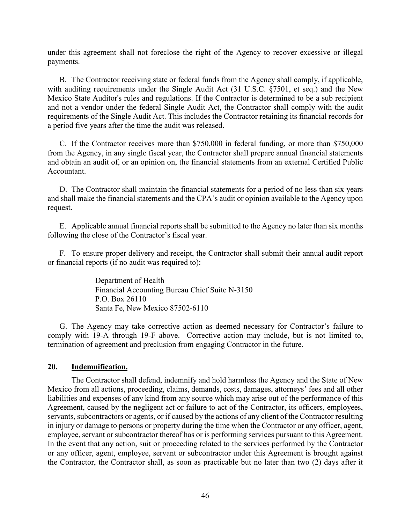under this agreement shall not foreclose the right of the Agency to recover excessive or illegal payments.

B. The Contractor receiving state or federal funds from the Agency shall comply, if applicable, with auditing requirements under the Single Audit Act (31 U.S.C. §7501, et seq.) and the New Mexico State Auditor's rules and regulations. If the Contractor is determined to be a sub recipient and not a vendor under the federal Single Audit Act, the Contractor shall comply with the audit requirements of the Single Audit Act. This includes the Contractor retaining its financial records for a period five years after the time the audit was released.

C. If the Contractor receives more than \$750,000 in federal funding, or more than \$750,000 from the Agency, in any single fiscal year, the Contractor shall prepare annual financial statements and obtain an audit of, or an opinion on, the financial statements from an external Certified Public Accountant.

D. The Contractor shall maintain the financial statements for a period of no less than six years and shall make the financial statements and the CPA's audit or opinion available to the Agency upon request.

E. Applicable annual financial reports shall be submitted to the Agency no later than six months following the close of the Contractor's fiscal year.

F. To ensure proper delivery and receipt, the Contractor shall submit their annual audit report or financial reports (if no audit was required to):

> Department of Health Financial Accounting Bureau Chief Suite N-3150 P.O. Box 26110 Santa Fe, New Mexico 87502-6110

G. The Agency may take corrective action as deemed necessary for Contractor's failure to comply with 19-A through 19-F above. Corrective action may include, but is not limited to, termination of agreement and preclusion from engaging Contractor in the future.

#### **20. Indemnification.**

The Contractor shall defend, indemnify and hold harmless the Agency and the State of New Mexico from all actions, proceeding, claims, demands, costs, damages, attorneys' fees and all other liabilities and expenses of any kind from any source which may arise out of the performance of this Agreement, caused by the negligent act or failure to act of the Contractor, its officers, employees, servants, subcontractors or agents, or if caused by the actions of any client of the Contractor resulting in injury or damage to persons or property during the time when the Contractor or any officer, agent, employee, servant or subcontractor thereof has or is performing services pursuant to this Agreement. In the event that any action, suit or proceeding related to the services performed by the Contractor or any officer, agent, employee, servant or subcontractor under this Agreement is brought against the Contractor, the Contractor shall, as soon as practicable but no later than two (2) days after it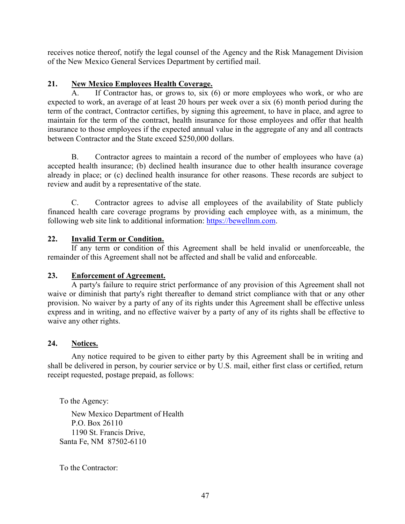receives notice thereof, notify the legal counsel of the Agency and the Risk Management Division of the New Mexico General Services Department by certified mail.

### **21. New Mexico Employees Health Coverage.**

If Contractor has, or grows to, six  $(6)$  or more employees who work, or who are expected to work, an average of at least 20 hours per week over a six (6) month period during the term of the contract, Contractor certifies, by signing this agreement, to have in place, and agree to maintain for the term of the contract, health insurance for those employees and offer that health insurance to those employees if the expected annual value in the aggregate of any and all contracts between Contractor and the State exceed \$250,000 dollars.

B. Contractor agrees to maintain a record of the number of employees who have (a) accepted health insurance; (b) declined health insurance due to other health insurance coverage already in place; or (c) declined health insurance for other reasons. These records are subject to review and audit by a representative of the state.

C. Contractor agrees to advise all employees of the availability of State publicly financed health care coverage programs by providing each employee with, as a minimum, the following web site link to additional information: https://bewellnm.com.

### **22. Invalid Term or Condition.**

If any term or condition of this Agreement shall be held invalid or unenforceable, the remainder of this Agreement shall not be affected and shall be valid and enforceable.

### **23. Enforcement of Agreement.**

A party's failure to require strict performance of any provision of this Agreement shall not waive or diminish that party's right thereafter to demand strict compliance with that or any other provision. No waiver by a party of any of its rights under this Agreement shall be effective unless express and in writing, and no effective waiver by a party of any of its rights shall be effective to waive any other rights.

### **24. Notices.**

Any notice required to be given to either party by this Agreement shall be in writing and shall be delivered in person, by courier service or by U.S. mail, either first class or certified, return receipt requested, postage prepaid, as follows:

To the Agency:

New Mexico Department of Health P.O. Box 26110 1190 St. Francis Drive, Santa Fe, NM 87502-6110

To the Contractor: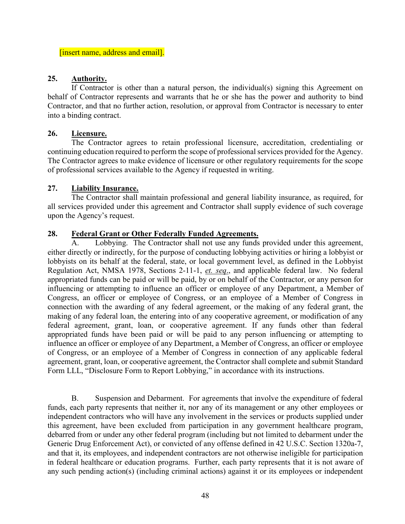[insert name, address and email].

#### **25. Authority.**

If Contractor is other than a natural person, the individual(s) signing this Agreement on behalf of Contractor represents and warrants that he or she has the power and authority to bind Contractor, and that no further action, resolution, or approval from Contractor is necessary to enter into a binding contract.

### **26. Licensure.**

The Contractor agrees to retain professional licensure, accreditation, credentialing or continuing education required to perform the scope of professional services provided for the Agency. The Contractor agrees to make evidence of licensure or other regulatory requirements for the scope of professional services available to the Agency if requested in writing.

### **27. Liability Insurance.**

The Contractor shall maintain professional and general liability insurance, as required, for all services provided under this agreement and Contractor shall supply evidence of such coverage upon the Agency's request.

### **28. Federal Grant or Other Federally Funded Agreements.**

A. Lobbying. The Contractor shall not use any funds provided under this agreement, either directly or indirectly, for the purpose of conducting lobbying activities or hiring a lobbyist or lobbyists on its behalf at the federal, state, or local government level, as defined in the Lobbyist Regulation Act, NMSA 1978, Sections 2-11-1, *et. seq*., and applicable federal law. No federal appropriated funds can be paid or will be paid, by or on behalf of the Contractor, or any person for influencing or attempting to influence an officer or employee of any Department, a Member of Congress, an officer or employee of Congress, or an employee of a Member of Congress in connection with the awarding of any federal agreement, or the making of any federal grant, the making of any federal loan, the entering into of any cooperative agreement, or modification of any federal agreement, grant, loan, or cooperative agreement. If any funds other than federal appropriated funds have been paid or will be paid to any person influencing or attempting to influence an officer or employee of any Department, a Member of Congress, an officer or employee of Congress, or an employee of a Member of Congress in connection of any applicable federal agreement, grant, loan, or cooperative agreement, the Contractor shall complete and submit Standard Form LLL, "Disclosure Form to Report Lobbying," in accordance with its instructions.

B. Suspension and Debarment. For agreements that involve the expenditure of federal funds, each party represents that neither it, nor any of its management or any other employees or independent contractors who will have any involvement in the services or products supplied under this agreement, have been excluded from participation in any government healthcare program, debarred from or under any other federal program (including but not limited to debarment under the Generic Drug Enforcement Act), or convicted of any offense defined in 42 U.S.C. Section 1320a-7, and that it, its employees, and independent contractors are not otherwise ineligible for participation in federal healthcare or education programs. Further, each party represents that it is not aware of any such pending action(s) (including criminal actions) against it or its employees or independent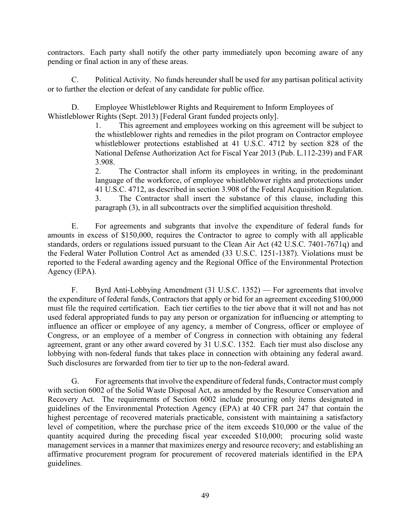contractors. Each party shall notify the other party immediately upon becoming aware of any pending or final action in any of these areas.

C. Political Activity. No funds hereunder shall be used for any partisan political activity or to further the election or defeat of any candidate for public office.

D. Employee Whistleblower Rights and Requirement to Inform Employees of Whistleblower Rights (Sept. 2013) [Federal Grant funded projects only].

1. This agreement and employees working on this agreement will be subject to the whistleblower rights and remedies in the pilot program on Contractor employee whistleblower protections established at 41 U.S.C. 4712 by section 828 of the National Defense Authorization Act for Fiscal Year 2013 (Pub. L.112-239) and FAR 3.908.

2. The Contractor shall inform its employees in writing, in the predominant language of the workforce, of employee whistleblower rights and protections under 41 U.S.C. 4712, as described in section 3.908 of the Federal Acquisition Regulation. 3. The Contractor shall insert the substance of this clause, including this paragraph (3), in all subcontracts over the simplified acquisition threshold.

E. For agreements and subgrants that involve the expenditure of federal funds for amounts in excess of \$150,000, requires the Contractor to agree to comply with all applicable standards, orders or regulations issued pursuant to the Clean Air Act (42 U.S.C. 7401-7671q) and the Federal Water Pollution Control Act as amended (33 U.S.C. 1251-1387). Violations must be reported to the Federal awarding agency and the Regional Office of the Environmental Protection Agency (EPA).

F. Byrd Anti-Lobbying Amendment (31 U.S.C. 1352) — For agreements that involve the expenditure of federal funds, Contractors that apply or bid for an agreement exceeding \$100,000 must file the required certification. Each tier certifies to the tier above that it will not and has not used federal appropriated funds to pay any person or organization for influencing or attempting to influence an officer or employee of any agency, a member of Congress, officer or employee of Congress, or an employee of a member of Congress in connection with obtaining any federal agreement, grant or any other award covered by 31 U.S.C. 1352. Each tier must also disclose any lobbying with non-federal funds that takes place in connection with obtaining any federal award. Such disclosures are forwarded from tier to tier up to the non-federal award.

G. For agreements that involve the expenditure of federal funds, Contractor must comply with section 6002 of the Solid Waste Disposal Act, as amended by the Resource Conservation and Recovery Act. The requirements of Section 6002 include procuring only items designated in guidelines of the Environmental Protection Agency (EPA) at 40 CFR part 247 that contain the highest percentage of recovered materials practicable, consistent with maintaining a satisfactory level of competition, where the purchase price of the item exceeds \$10,000 or the value of the quantity acquired during the preceding fiscal year exceeded \$10,000; procuring solid waste management services in a manner that maximizes energy and resource recovery; and establishing an affirmative procurement program for procurement of recovered materials identified in the EPA guidelines.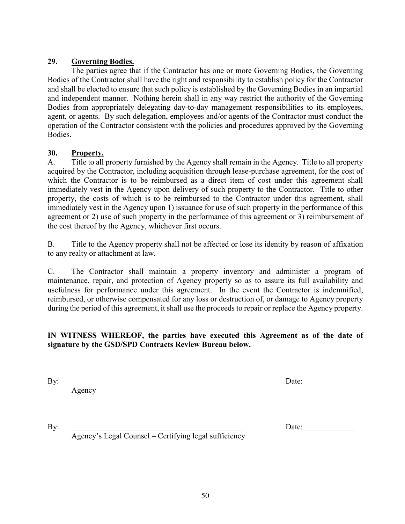### **29. Governing Bodies.**

The parties agree that if the Contractor has one or more Governing Bodies, the Governing Bodies of the Contractor shall have the right and responsibility to establish policy for the Contractor and shall be elected to ensure that such policy is established by the Governing Bodies in an impartial and independent manner. Nothing herein shall in any way restrict the authority of the Governing Bodies from appropriately delegating day-to-day management responsibilities to its employees, agent, or agents. By such delegation, employees and/or agents of the Contractor must conduct the operation of the Contractor consistent with the policies and procedures approved by the Governing Bodies.

### **30. Property.**

A. Title to all property furnished by the Agency shall remain in the Agency. Title to all property acquired by the Contractor, including acquisition through lease-purchase agreement, for the cost of which the Contractor is to be reimbursed as a direct item of cost under this agreement shall immediately vest in the Agency upon delivery of such property to the Contractor. Title to other property, the costs of which is to be reimbursed to the Contractor under this agreement, shall immediately vest in the Agency upon 1) issuance for use of such property in the performance of this agreement or 2) use of such property in the performance of this agreement or 3) reimbursement of the cost thereof by the Agency, whichever first occurs.

B. Title to the Agency property shall not be affected or lose its identity by reason of affixation to any realty or attachment at law.

C. The Contractor shall maintain a property inventory and administer a program of maintenance, repair, and protection of Agency property so as to assure its full availability and usefulness for performance under this agreement. In the event the Contractor is indemnified, reimbursed, or otherwise compensated for any loss or destruction of, or damage to Agency property during the period of this agreement, it shall use the proceeds to repair or replace the Agency property.

### **IN WITNESS WHEREOF, the parties have executed this Agreement as of the date of signature by the GSD/SPD Contracts Review Bureau below.**

Agency

By: the contract of the contract of the contract of the contract of the contract of  $\Gamma$ 

By: Letting the contract of the contract of the contract of the contract of the contract of the contract of the contract of the contract of the contract of the contract of the contract of the contract of the contract of th

Agency's Legal Counsel – Certifying legal sufficiency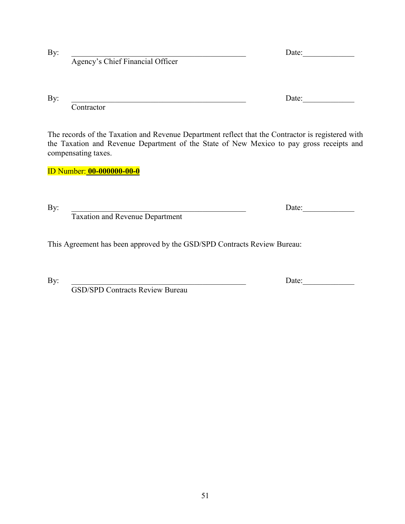Contractor

The records of the Taxation and Revenue Department reflect that the Contractor is registered with the Taxation and Revenue Department of the State of New Mexico to pay gross receipts and compensating taxes.

By: Late:

ID Number: **00-000000-00-0**

Taxation and Revenue Department

Agency's Chief Financial Officer

This Agreement has been approved by the GSD/SPD Contracts Review Bureau:

GSD/SPD Contracts Review Bureau

By: \_\_\_\_\_\_\_\_\_\_\_\_\_\_\_\_\_\_\_\_\_\_\_\_\_\_\_\_\_\_\_\_\_\_\_\_\_\_\_\_\_\_\_\_ Date:\_\_\_\_\_\_\_\_\_\_\_\_\_

By: \_\_\_\_\_\_\_\_\_\_\_\_\_\_\_\_\_\_\_\_\_\_\_\_\_\_\_\_\_\_\_\_\_\_\_\_\_\_\_\_\_\_\_\_ Date:\_\_\_\_\_\_\_\_\_\_\_\_\_

By: 2010 Date: 2010 Date: 2010 Date: 2010 Date: 2010 Date: 2010 Date: 2010 Date: 2010 Date: 2010 Date: 2010 Date: 2010 Date: 2010 Date: 2010 Date: 2010 Date: 2010 Date: 2010 Date: 2010 Date: 2010 Date: 2010 Date: 2010 Date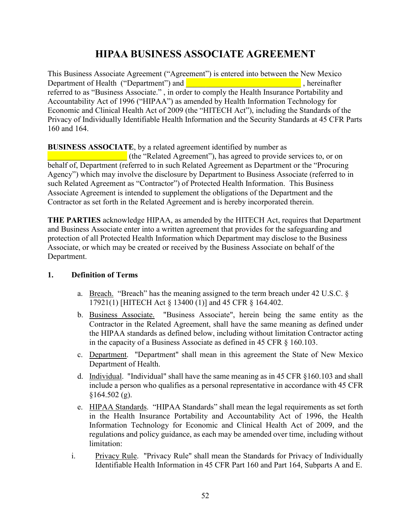# **HIPAA BUSINESS ASSOCIATE AGREEMENT**

This Business Associate Agreement ("Agreement") is entered into between the New Mexico Department of Health ("Department") and **Exercise 2**, hereinafter referred to as "Business Associate." , in order to comply the Health Insurance Portability and Accountability Act of 1996 ("HIPAA") as amended by Health Information Technology for Economic and Clinical Health Act of 2009 (the "HITECH Act"), including the Standards of the Privacy of Individually Identifiable Health Information and the Security Standards at 45 CFR Parts 160 and 164.

### **BUSINESS ASSOCIATE**, by a related agreement identified by number as

\_\_\_\_\_\_\_\_\_\_\_\_\_\_\_\_\_\_\_\_ (the "Related Agreement"), has agreed to provide services to, or on behalf of, Department (referred to in such Related Agreement as Department or the "Procuring Agency") which may involve the disclosure by Department to Business Associate (referred to in such Related Agreement as "Contractor") of Protected Health Information. This Business Associate Agreement is intended to supplement the obligations of the Department and the Contractor as set forth in the Related Agreement and is hereby incorporated therein.

**THE PARTIES** acknowledge HIPAA, as amended by the HITECH Act, requires that Department and Business Associate enter into a written agreement that provides for the safeguarding and protection of all Protected Health Information which Department may disclose to the Business Associate, or which may be created or received by the Business Associate on behalf of the Department.

### **1. Definition of Terms**

- a. Breach. "Breach" has the meaning assigned to the term breach under 42 U.S.C. § 17921(1) [HITECH Act § 13400 (1)] and 45 CFR § 164.402.
- b. Business Associate. "Business Associate", herein being the same entity as the Contractor in the Related Agreement, shall have the same meaning as defined under the HIPAA standards as defined below, including without limitation Contractor acting in the capacity of a Business Associate as defined in 45 CFR § 160.103.
- c. Department. "Department" shall mean in this agreement the State of New Mexico Department of Health.
- d. Individual. "Individual" shall have the same meaning as in 45 CFR §160.103 and shall include a person who qualifies as a personal representative in accordance with 45 CFR  $$164.502$  (g).
- e. HIPAA Standards. "HIPAA Standards" shall mean the legal requirements as set forth in the Health Insurance Portability and Accountability Act of 1996, the Health Information Technology for Economic and Clinical Health Act of 2009, and the regulations and policy guidance, as each may be amended over time, including without limitation:
- i. Privacy Rule. "Privacy Rule" shall mean the Standards for Privacy of Individually Identifiable Health Information in 45 CFR Part 160 and Part 164, Subparts A and E.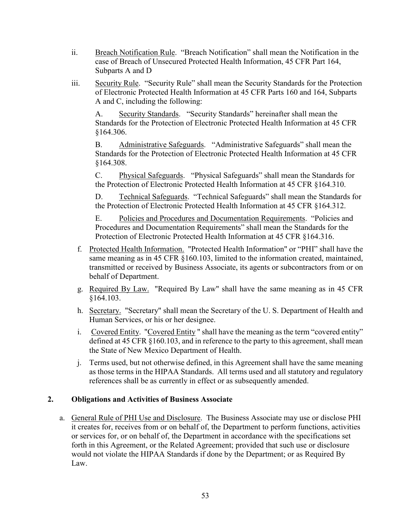- ii. Breach Notification Rule. "Breach Notification" shall mean the Notification in the case of Breach of Unsecured Protected Health Information, 45 CFR Part 164, Subparts A and D
- iii. Security Rule. "Security Rule" shall mean the Security Standards for the Protection of Electronic Protected Health Information at 45 CFR Parts 160 and 164, Subparts A and C, including the following:

A. Security Standards. "Security Standards" hereinafter shall mean the Standards for the Protection of Electronic Protected Health Information at 45 CFR §164.306.

B. Administrative Safeguards. "Administrative Safeguards" shall mean the Standards for the Protection of Electronic Protected Health Information at 45 CFR §164.308.

C. Physical Safeguards. "Physical Safeguards" shall mean the Standards for the Protection of Electronic Protected Health Information at 45 CFR §164.310.

D. Technical Safeguards. "Technical Safeguards" shall mean the Standards for the Protection of Electronic Protected Health Information at 45 CFR §164.312.

Policies and Procedures and Documentation Requirements. "Policies and Procedures and Documentation Requirements" shall mean the Standards for the Protection of Electronic Protected Health Information at 45 CFR §164.316.

- f. Protected Health Information. "Protected Health Information" or "PHI" shall have the same meaning as in 45 CFR §160.103, limited to the information created, maintained, transmitted or received by Business Associate, its agents or subcontractors from or on behalf of Department.
- g. Required By Law. "Required By Law" shall have the same meaning as in 45 CFR §164.103.
- h. Secretary. "Secretary" shall mean the Secretary of the U. S. Department of Health and Human Services, or his or her designee.
- i. Covered Entity. "Covered Entity " shall have the meaning as the term "covered entity" defined at 45 CFR §160.103, and in reference to the party to this agreement, shall mean the State of New Mexico Department of Health.
- j. Terms used, but not otherwise defined, in this Agreement shall have the same meaning as those terms in the HIPAA Standards. All terms used and all statutory and regulatory references shall be as currently in effect or as subsequently amended.

### **2. Obligations and Activities of Business Associate**

a. General Rule of PHI Use and Disclosure. The Business Associate may use or disclose PHI it creates for, receives from or on behalf of, the Department to perform functions, activities or services for, or on behalf of, the Department in accordance with the specifications set forth in this Agreement, or the Related Agreement; provided that such use or disclosure would not violate the HIPAA Standards if done by the Department; or as Required By Law.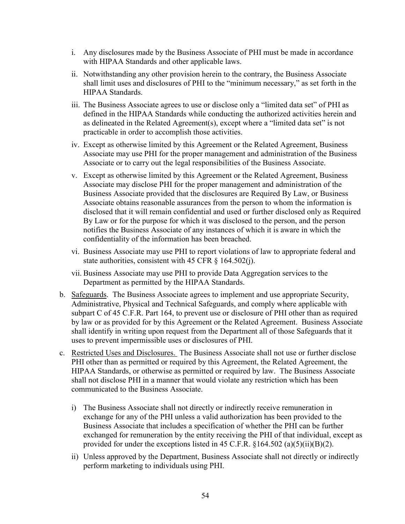- i. Any disclosures made by the Business Associate of PHI must be made in accordance with HIPAA Standards and other applicable laws.
- ii. Notwithstanding any other provision herein to the contrary, the Business Associate shall limit uses and disclosures of PHI to the "minimum necessary," as set forth in the HIPAA Standards.
- iii. The Business Associate agrees to use or disclose only a "limited data set" of PHI as defined in the HIPAA Standards while conducting the authorized activities herein and as delineated in the Related Agreement(s), except where a "limited data set" is not practicable in order to accomplish those activities.
- iv. Except as otherwise limited by this Agreement or the Related Agreement, Business Associate may use PHI for the proper management and administration of the Business Associate or to carry out the legal responsibilities of the Business Associate.
- v. Except as otherwise limited by this Agreement or the Related Agreement, Business Associate may disclose PHI for the proper management and administration of the Business Associate provided that the disclosures are Required By Law, or Business Associate obtains reasonable assurances from the person to whom the information is disclosed that it will remain confidential and used or further disclosed only as Required By Law or for the purpose for which it was disclosed to the person, and the person notifies the Business Associate of any instances of which it is aware in which the confidentiality of the information has been breached.
- vi. Business Associate may use PHI to report violations of law to appropriate federal and state authorities, consistent with 45 CFR § 164.502(j).
- vii. Business Associate may use PHI to provide Data Aggregation services to the Department as permitted by the HIPAA Standards.
- b. Safeguards. The Business Associate agrees to implement and use appropriate Security, Administrative, Physical and Technical Safeguards, and comply where applicable with subpart C of 45 C.F.R. Part 164, to prevent use or disclosure of PHI other than as required by law or as provided for by this Agreement or the Related Agreement. Business Associate shall identify in writing upon request from the Department all of those Safeguards that it uses to prevent impermissible uses or disclosures of PHI.
- c. Restricted Uses and Disclosures. The Business Associate shall not use or further disclose PHI other than as permitted or required by this Agreement, the Related Agreement, the HIPAA Standards, or otherwise as permitted or required by law. The Business Associate shall not disclose PHI in a manner that would violate any restriction which has been communicated to the Business Associate.
	- i) The Business Associate shall not directly or indirectly receive remuneration in exchange for any of the PHI unless a valid authorization has been provided to the Business Associate that includes a specification of whether the PHI can be further exchanged for remuneration by the entity receiving the PHI of that individual, except as provided for under the exceptions listed in 45 C.F.R.  $\S 164.502$  (a)(5)(ii)(B)(2).
	- ii) Unless approved by the Department, Business Associate shall not directly or indirectly perform marketing to individuals using PHI.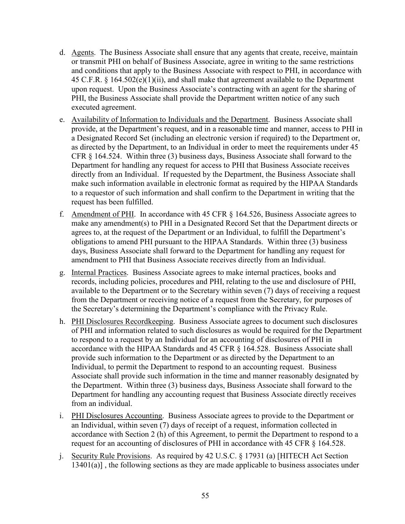- d. Agents. The Business Associate shall ensure that any agents that create, receive, maintain or transmit PHI on behalf of Business Associate, agree in writing to the same restrictions and conditions that apply to the Business Associate with respect to PHI, in accordance with 45 C.F.R. § 164.502(e)(1)(ii), and shall make that agreement available to the Department upon request. Upon the Business Associate's contracting with an agent for the sharing of PHI, the Business Associate shall provide the Department written notice of any such executed agreement.
- e. Availability of Information to Individuals and the Department. Business Associate shall provide, at the Department's request, and in a reasonable time and manner, access to PHI in a Designated Record Set (including an electronic version if required) to the Department or, as directed by the Department, to an Individual in order to meet the requirements under 45 CFR § 164.524. Within three (3) business days, Business Associate shall forward to the Department for handling any request for access to PHI that Business Associate receives directly from an Individual. If requested by the Department, the Business Associate shall make such information available in electronic format as required by the HIPAA Standards to a requestor of such information and shall confirm to the Department in writing that the request has been fulfilled.
- f. Amendment of PHI. In accordance with 45 CFR § 164.526, Business Associate agrees to make any amendment(s) to PHI in a Designated Record Set that the Department directs or agrees to, at the request of the Department or an Individual, to fulfill the Department's obligations to amend PHI pursuant to the HIPAA Standards. Within three (3) business days, Business Associate shall forward to the Department for handling any request for amendment to PHI that Business Associate receives directly from an Individual.
- g. Internal Practices. Business Associate agrees to make internal practices, books and records, including policies, procedures and PHI, relating to the use and disclosure of PHI, available to the Department or to the Secretary within seven (7) days of receiving a request from the Department or receiving notice of a request from the Secretary, for purposes of the Secretary's determining the Department's compliance with the Privacy Rule.
- h. PHI Disclosures Recordkeeping. Business Associate agrees to document such disclosures of PHI and information related to such disclosures as would be required for the Department to respond to a request by an Individual for an accounting of disclosures of PHI in accordance with the HIPAA Standards and 45 CFR § 164.528. Business Associate shall provide such information to the Department or as directed by the Department to an Individual, to permit the Department to respond to an accounting request. Business Associate shall provide such information in the time and manner reasonably designated by the Department. Within three (3) business days, Business Associate shall forward to the Department for handling any accounting request that Business Associate directly receives from an individual.
- i. PHI Disclosures Accounting. Business Associate agrees to provide to the Department or an Individual, within seven (7) days of receipt of a request, information collected in accordance with Section 2 (h) of this Agreement, to permit the Department to respond to a request for an accounting of disclosures of PHI in accordance with 45 CFR § 164.528.
- j. Security Rule Provisions. As required by 42 U.S.C. § 17931 (a) [HITECH Act Section 13401(a)], the following sections as they are made applicable to business associates under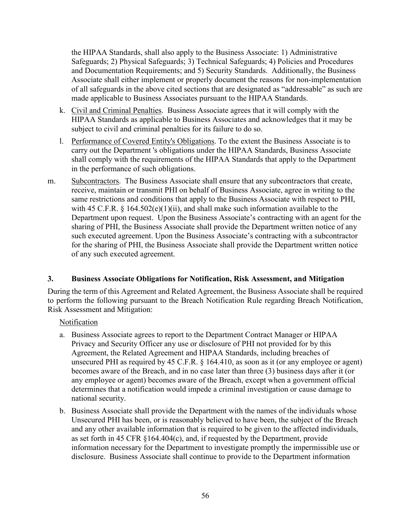the HIPAA Standards, shall also apply to the Business Associate: 1) Administrative Safeguards; 2) Physical Safeguards; 3) Technical Safeguards; 4) Policies and Procedures and Documentation Requirements; and 5) Security Standards. Additionally, the Business Associate shall either implement or properly document the reasons for non-implementation of all safeguards in the above cited sections that are designated as "addressable" as such are made applicable to Business Associates pursuant to the HIPAA Standards.

- k. Civil and Criminal Penalties. Business Associate agrees that it will comply with the HIPAA Standards as applicable to Business Associates and acknowledges that it may be subject to civil and criminal penalties for its failure to do so.
- l. Performance of Covered Entity's Obligations. To the extent the Business Associate is to carry out the Department 's obligations under the HIPAA Standards, Business Associate shall comply with the requirements of the HIPAA Standards that apply to the Department in the performance of such obligations.
- m. Subcontractors. The Business Associate shall ensure that any subcontractors that create, receive, maintain or transmit PHI on behalf of Business Associate, agree in writing to the same restrictions and conditions that apply to the Business Associate with respect to PHI, with 45 C.F.R. § 164.502(e)(1)(ii), and shall make such information available to the Department upon request. Upon the Business Associate's contracting with an agent for the sharing of PHI, the Business Associate shall provide the Department written notice of any such executed agreement. Upon the Business Associate's contracting with a subcontractor for the sharing of PHI, the Business Associate shall provide the Department written notice of any such executed agreement.

### **3. Business Associate Obligations for Notification, Risk Assessment, and Mitigation**

During the term of this Agreement and Related Agreement, the Business Associate shall be required to perform the following pursuant to the Breach Notification Rule regarding Breach Notification, Risk Assessment and Mitigation:

### Notification

- a. Business Associate agrees to report to the Department Contract Manager or HIPAA Privacy and Security Officer any use or disclosure of PHI not provided for by this Agreement, the Related Agreement and HIPAA Standards, including breaches of unsecured PHI as required by 45 C.F.R. § 164.410, as soon as it (or any employee or agent) becomes aware of the Breach, and in no case later than three (3) business days after it (or any employee or agent) becomes aware of the Breach, except when a government official determines that a notification would impede a criminal investigation or cause damage to national security.
- b. Business Associate shall provide the Department with the names of the individuals whose Unsecured PHI has been, or is reasonably believed to have been, the subject of the Breach and any other available information that is required to be given to the affected individuals, as set forth in 45 CFR §164.404(c), and, if requested by the Department, provide information necessary for the Department to investigate promptly the impermissible use or disclosure. Business Associate shall continue to provide to the Department information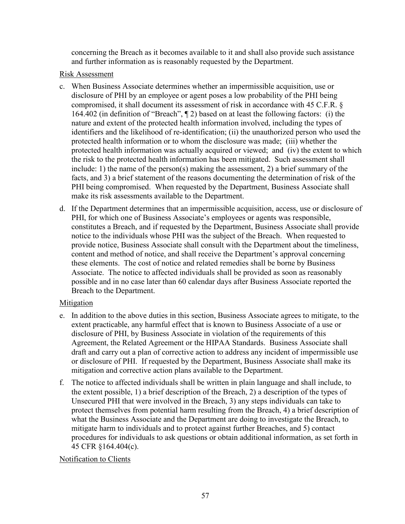concerning the Breach as it becomes available to it and shall also provide such assistance and further information as is reasonably requested by the Department.

### Risk Assessment

- c. When Business Associate determines whether an impermissible acquisition, use or disclosure of PHI by an employee or agent poses a low probability of the PHI being compromised, it shall document its assessment of risk in accordance with 45 C.F.R. § 164.402 (in definition of "Breach", ¶ 2) based on at least the following factors: (i) the nature and extent of the protected health information involved, including the types of identifiers and the likelihood of re-identification; (ii) the unauthorized person who used the protected health information or to whom the disclosure was made; (iii) whether the protected health information was actually acquired or viewed; and (iv) the extent to which the risk to the protected health information has been mitigated. Such assessment shall include: 1) the name of the person(s) making the assessment, 2) a brief summary of the facts, and 3) a brief statement of the reasons documenting the determination of risk of the PHI being compromised. When requested by the Department, Business Associate shall make its risk assessments available to the Department.
- d. If the Department determines that an impermissible acquisition, access, use or disclosure of PHI, for which one of Business Associate's employees or agents was responsible, constitutes a Breach, and if requested by the Department, Business Associate shall provide notice to the individuals whose PHI was the subject of the Breach. When requested to provide notice, Business Associate shall consult with the Department about the timeliness, content and method of notice, and shall receive the Department's approval concerning these elements. The cost of notice and related remedies shall be borne by Business Associate. The notice to affected individuals shall be provided as soon as reasonably possible and in no case later than 60 calendar days after Business Associate reported the Breach to the Department.

### Mitigation

- e. In addition to the above duties in this section, Business Associate agrees to mitigate, to the extent practicable, any harmful effect that is known to Business Associate of a use or disclosure of PHI, by Business Associate in violation of the requirements of this Agreement, the Related Agreement or the HIPAA Standards. Business Associate shall draft and carry out a plan of corrective action to address any incident of impermissible use or disclosure of PHI. If requested by the Department, Business Associate shall make its mitigation and corrective action plans available to the Department.
- f. The notice to affected individuals shall be written in plain language and shall include, to the extent possible, 1) a brief description of the Breach, 2) a description of the types of Unsecured PHI that were involved in the Breach, 3) any steps individuals can take to protect themselves from potential harm resulting from the Breach, 4) a brief description of what the Business Associate and the Department are doing to investigate the Breach, to mitigate harm to individuals and to protect against further Breaches, and 5) contact procedures for individuals to ask questions or obtain additional information, as set forth in 45 CFR §164.404(c).

#### Notification to Clients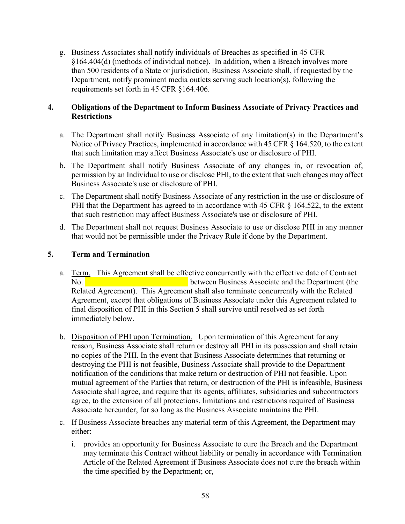g. Business Associates shall notify individuals of Breaches as specified in 45 CFR §164.404(d) (methods of individual notice). In addition, when a Breach involves more than 500 residents of a State or jurisdiction, Business Associate shall, if requested by the Department, notify prominent media outlets serving such location(s), following the requirements set forth in 45 CFR §164.406.

### **4. Obligations of the Department to Inform Business Associate of Privacy Practices and Restrictions**

- a. The Department shall notify Business Associate of any limitation(s) in the Department's Notice of Privacy Practices, implemented in accordance with 45 CFR § 164.520, to the extent that such limitation may affect Business Associate's use or disclosure of PHI.
- b. The Department shall notify Business Associate of any changes in, or revocation of, permission by an Individual to use or disclose PHI, to the extent that such changes may affect Business Associate's use or disclosure of PHI.
- c. The Department shall notify Business Associate of any restriction in the use or disclosure of PHI that the Department has agreed to in accordance with 45 CFR § 164.522, to the extent that such restriction may affect Business Associate's use or disclosure of PHI.
- d. The Department shall not request Business Associate to use or disclose PHI in any manner that would not be permissible under the Privacy Rule if done by the Department.

### **5. Term and Termination**

- a. Term. This Agreement shall be effective concurrently with the effective date of Contract No. **No. No. EXECUTE: No. EXECUTE: No. EXECUTE: EXECUTE: EXECUTE: EXECUTE: EXECUTE: EXECUTE: EXECUTE: EXECUTE: EXECUTE: EXECUTE: EXECUTE: EXECUTE: EXECUTE: EXECUTE: EXECUTE: EXECUT** Related Agreement). This Agreement shall also terminate concurrently with the Related Agreement, except that obligations of Business Associate under this Agreement related to final disposition of PHI in this Section 5 shall survive until resolved as set forth immediately below.
- b. Disposition of PHI upon Termination. Upon termination of this Agreement for any reason, Business Associate shall return or destroy all PHI in its possession and shall retain no copies of the PHI. In the event that Business Associate determines that returning or destroying the PHI is not feasible, Business Associate shall provide to the Department notification of the conditions that make return or destruction of PHI not feasible. Upon mutual agreement of the Parties that return, or destruction of the PHI is infeasible, Business Associate shall agree, and require that its agents, affiliates, subsidiaries and subcontractors agree, to the extension of all protections, limitations and restrictions required of Business Associate hereunder, for so long as the Business Associate maintains the PHI.
- c. If Business Associate breaches any material term of this Agreement, the Department may either:
	- i. provides an opportunity for Business Associate to cure the Breach and the Department may terminate this Contract without liability or penalty in accordance with Termination Article of the Related Agreement if Business Associate does not cure the breach within the time specified by the Department; or,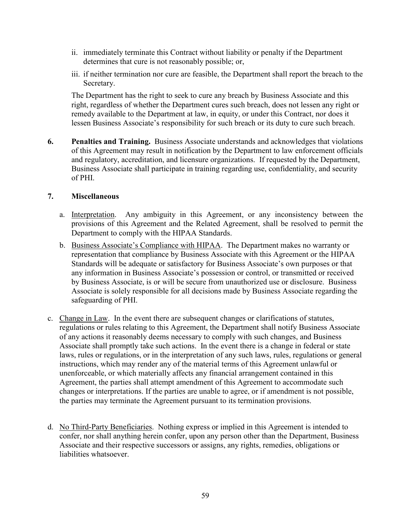- ii. immediately terminate this Contract without liability or penalty if the Department determines that cure is not reasonably possible; or,
- iii. if neither termination nor cure are feasible, the Department shall report the breach to the Secretary.

The Department has the right to seek to cure any breach by Business Associate and this right, regardless of whether the Department cures such breach, does not lessen any right or remedy available to the Department at law, in equity, or under this Contract, nor does it lessen Business Associate's responsibility for such breach or its duty to cure such breach.

**6. Penalties and Training.** Business Associate understands and acknowledges that violations of this Agreement may result in notification by the Department to law enforcement officials and regulatory, accreditation, and licensure organizations. If requested by the Department, Business Associate shall participate in training regarding use, confidentiality, and security of PHI.

### **7. Miscellaneous**

- a. Interpretation. Any ambiguity in this Agreement, or any inconsistency between the provisions of this Agreement and the Related Agreement, shall be resolved to permit the Department to comply with the HIPAA Standards.
- b. Business Associate's Compliance with HIPAA. The Department makes no warranty or representation that compliance by Business Associate with this Agreement or the HIPAA Standards will be adequate or satisfactory for Business Associate's own purposes or that any information in Business Associate's possession or control, or transmitted or received by Business Associate, is or will be secure from unauthorized use or disclosure. Business Associate is solely responsible for all decisions made by Business Associate regarding the safeguarding of PHI.
- c. Change in Law. In the event there are subsequent changes or clarifications of statutes, regulations or rules relating to this Agreement, the Department shall notify Business Associate of any actions it reasonably deems necessary to comply with such changes, and Business Associate shall promptly take such actions. In the event there is a change in federal or state laws, rules or regulations, or in the interpretation of any such laws, rules, regulations or general instructions, which may render any of the material terms of this Agreement unlawful or unenforceable, or which materially affects any financial arrangement contained in this Agreement, the parties shall attempt amendment of this Agreement to accommodate such changes or interpretations. If the parties are unable to agree, or if amendment is not possible, the parties may terminate the Agreement pursuant to its termination provisions.
- d. No Third-Party Beneficiaries. Nothing express or implied in this Agreement is intended to confer, nor shall anything herein confer, upon any person other than the Department, Business Associate and their respective successors or assigns, any rights, remedies, obligations or liabilities whatsoever.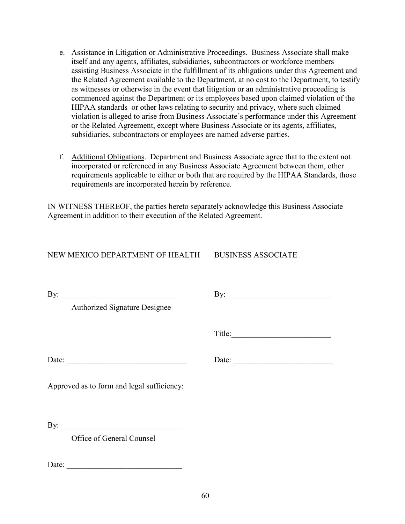- e. Assistance in Litigation or Administrative Proceedings. Business Associate shall make itself and any agents, affiliates, subsidiaries, subcontractors or workforce members assisting Business Associate in the fulfillment of its obligations under this Agreement and the Related Agreement available to the Department, at no cost to the Department, to testify as witnesses or otherwise in the event that litigation or an administrative proceeding is commenced against the Department or its employees based upon claimed violation of the HIPAA standards or other laws relating to security and privacy, where such claimed violation is alleged to arise from Business Associate's performance under this Agreement or the Related Agreement, except where Business Associate or its agents, affiliates, subsidiaries, subcontractors or employees are named adverse parties.
- f. Additional Obligations. Department and Business Associate agree that to the extent not incorporated or referenced in any Business Associate Agreement between them, other requirements applicable to either or both that are required by the HIPAA Standards, those requirements are incorporated herein by reference.

IN WITNESS THEREOF, the parties hereto separately acknowledge this Business Associate Agreement in addition to their execution of the Related Agreement.

NEW MEXICO DEPARTMENT OF HEALTH BUSINESS ASSOCIATE

Authorized Signature Designee

By: \_\_\_\_\_\_\_\_\_\_\_\_\_\_\_\_\_\_\_\_\_\_\_\_\_\_\_\_\_ By: \_\_\_\_\_\_\_\_\_\_\_\_\_\_\_\_\_\_\_\_\_\_\_\_\_\_

Title:

Date: \_\_\_\_\_\_\_\_\_\_\_\_\_\_\_\_\_\_\_\_\_\_\_\_\_\_\_\_\_\_ Date: \_\_\_\_\_\_\_\_\_\_\_\_\_\_\_\_\_\_\_\_\_\_\_\_\_

Approved as to form and legal sufficiency:

By:

Office of General Counsel

Date: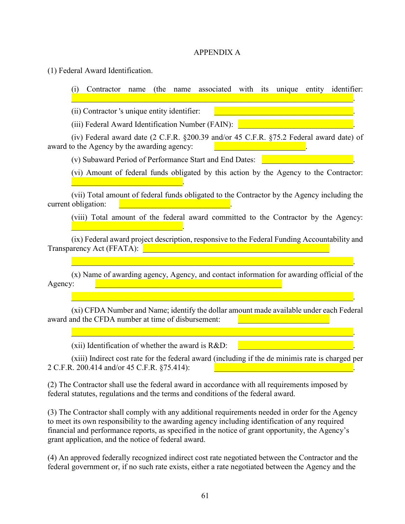#### APPENDIX A

(1) Federal Award Identification.

(i) Contractor name (the name associated with its unique entity identifier:

 $\mathcal{L}_\mathcal{L} = \mathcal{L}_\mathcal{L} = \mathcal{L}_\mathcal{L} = \mathcal{L}_\mathcal{L} = \mathcal{L}_\mathcal{L} = \mathcal{L}_\mathcal{L} = \mathcal{L}_\mathcal{L} = \mathcal{L}_\mathcal{L} = \mathcal{L}_\mathcal{L} = \mathcal{L}_\mathcal{L} = \mathcal{L}_\mathcal{L} = \mathcal{L}_\mathcal{L} = \mathcal{L}_\mathcal{L} = \mathcal{L}_\mathcal{L} = \mathcal{L}_\mathcal{L} = \mathcal{L}_\mathcal{L} = \mathcal{L}_\mathcal{L}$ 

 $(ii)$  Contractor 's unique entity identifier:

\_\_\_\_\_\_\_\_\_\_\_\_\_\_\_\_\_\_\_\_\_\_\_\_\_\_\_\_.

\_\_\_\_\_\_\_\_\_\_\_\_\_\_\_\_\_\_\_\_\_\_\_\_\_\_\_\_.

(iii) Federal Award Identification Number (FAIN):

(iv) Federal award date (2 C.F.R. §200.39 and/or 45 C.F.R. §75.2 Federal award date) of award to the Agency by the awarding agency:

(v) Subaward Period of Performance Start and End Dates: \_\_\_\_\_\_\_\_\_\_\_\_\_\_\_\_\_\_\_\_\_\_\_.

(vi) Amount of federal funds obligated by this action by the Agency to the Contractor:

(vii) Total amount of federal funds obligated to the Contractor by the Agency including the current obligation:

(viii) Total amount of the federal award committed to the Contractor by the Agency:

(ix) Federal award project description, responsive to the Federal Funding Accountability and Transparency Act (FFATA):

(x) Name of awarding agency, Agency, and contact information for awarding official of the Agency:

 $\mathcal{L}_\mathcal{L} = \mathcal{L}_\mathcal{L} = \mathcal{L}_\mathcal{L} = \mathcal{L}_\mathcal{L} = \mathcal{L}_\mathcal{L} = \mathcal{L}_\mathcal{L} = \mathcal{L}_\mathcal{L} = \mathcal{L}_\mathcal{L} = \mathcal{L}_\mathcal{L} = \mathcal{L}_\mathcal{L} = \mathcal{L}_\mathcal{L} = \mathcal{L}_\mathcal{L} = \mathcal{L}_\mathcal{L} = \mathcal{L}_\mathcal{L} = \mathcal{L}_\mathcal{L} = \mathcal{L}_\mathcal{L} = \mathcal{L}_\mathcal{L}$ 

 $\mathcal{L}_\mathcal{L} = \mathcal{L}_\mathcal{L} = \mathcal{L}_\mathcal{L} = \mathcal{L}_\mathcal{L} = \mathcal{L}_\mathcal{L} = \mathcal{L}_\mathcal{L} = \mathcal{L}_\mathcal{L} = \mathcal{L}_\mathcal{L} = \mathcal{L}_\mathcal{L} = \mathcal{L}_\mathcal{L} = \mathcal{L}_\mathcal{L} = \mathcal{L}_\mathcal{L} = \mathcal{L}_\mathcal{L} = \mathcal{L}_\mathcal{L} = \mathcal{L}_\mathcal{L} = \mathcal{L}_\mathcal{L} = \mathcal{L}_\mathcal{L}$ 

 $\mathcal{L}_\mathcal{L} = \mathcal{L}_\mathcal{L} = \mathcal{L}_\mathcal{L} = \mathcal{L}_\mathcal{L} = \mathcal{L}_\mathcal{L} = \mathcal{L}_\mathcal{L} = \mathcal{L}_\mathcal{L} = \mathcal{L}_\mathcal{L} = \mathcal{L}_\mathcal{L} = \mathcal{L}_\mathcal{L} = \mathcal{L}_\mathcal{L} = \mathcal{L}_\mathcal{L} = \mathcal{L}_\mathcal{L} = \mathcal{L}_\mathcal{L} = \mathcal{L}_\mathcal{L} = \mathcal{L}_\mathcal{L} = \mathcal{L}_\mathcal{L}$ 

(xi) CFDA Number and Name; identify the dollar amount made available under each Federal award and the CFDA number at time of disbursement:

(xii) Identification of whether the award is  $R&D$ :

(xiii) Indirect cost rate for the federal award (including if the de minimis rate is charged per 2 C.F.R. 200.414 and/or 45 C.F.R. §75.414):

(2) The Contractor shall use the federal award in accordance with all requirements imposed by federal statutes, regulations and the terms and conditions of the federal award.

(3) The Contractor shall comply with any additional requirements needed in order for the Agency to meet its own responsibility to the awarding agency including identification of any required financial and performance reports, as specified in the notice of grant opportunity, the Agency's grant application, and the notice of federal award.

(4) An approved federally recognized indirect cost rate negotiated between the Contractor and the federal government or, if no such rate exists, either a rate negotiated between the Agency and the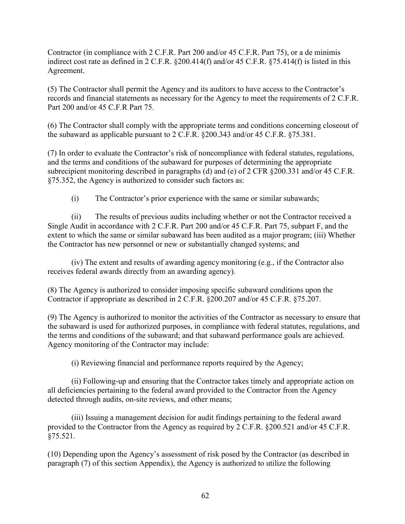Contractor (in compliance with 2 C.F.R. Part 200 and/or 45 C.F.R. Part 75), or a de minimis indirect cost rate as defined in 2 C.F.R. §200.414(f) and/or 45 C.F.R. §75.414(f) is listed in this Agreement.

(5) The Contractor shall permit the Agency and its auditors to have access to the Contractor's records and financial statements as necessary for the Agency to meet the requirements of 2 C.F.R. Part 200 and/or 45 C.F.R Part 75.

(6) The Contractor shall comply with the appropriate terms and conditions concerning closeout of the subaward as applicable pursuant to 2 C.F.R. §200.343 and/or 45 C.F.R. §75.381.

(7) In order to evaluate the Contractor's risk of noncompliance with federal statutes, regulations, and the terms and conditions of the subaward for purposes of determining the appropriate subrecipient monitoring described in paragraphs (d) and (e) of 2 CFR §200.331 and/or 45 C.F.R. §75.352, the Agency is authorized to consider such factors as:

(i) The Contractor's prior experience with the same or similar subawards;

(ii) The results of previous audits including whether or not the Contractor received a Single Audit in accordance with 2 C.F.R. Part 200 and/or 45 C.F.R. Part 75, subpart F, and the extent to which the same or similar subaward has been audited as a major program; (iii) Whether the Contractor has new personnel or new or substantially changed systems; and

(iv) The extent and results of awarding agency monitoring (e.g., if the Contractor also receives federal awards directly from an awarding agency).

(8) The Agency is authorized to consider imposing specific subaward conditions upon the Contractor if appropriate as described in 2 C.F.R. §200.207 and/or 45 C.F.R. §75.207.

(9) The Agency is authorized to monitor the activities of the Contractor as necessary to ensure that the subaward is used for authorized purposes, in compliance with federal statutes, regulations, and the terms and conditions of the subaward; and that subaward performance goals are achieved. Agency monitoring of the Contractor may include:

(i) Reviewing financial and performance reports required by the Agency;

(ii) Following-up and ensuring that the Contractor takes timely and appropriate action on all deficiencies pertaining to the federal award provided to the Contractor from the Agency detected through audits, on-site reviews, and other means;

(iii) Issuing a management decision for audit findings pertaining to the federal award provided to the Contractor from the Agency as required by 2 C.F.R. §200.521 and/or 45 C.F.R. §75.521.

(10) Depending upon the Agency's assessment of risk posed by the Contractor (as described in paragraph (7) of this section Appendix), the Agency is authorized to utilize the following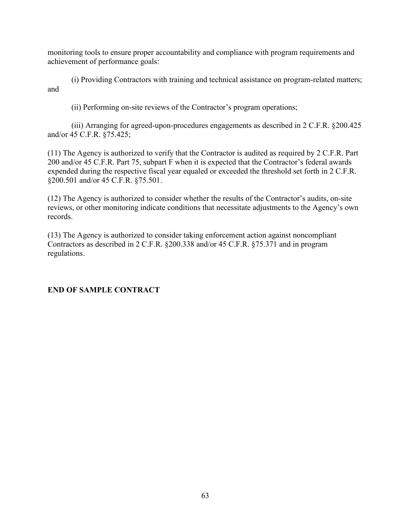monitoring tools to ensure proper accountability and compliance with program requirements and achievement of performance goals:

(i) Providing Contractors with training and technical assistance on program-related matters; and

(ii) Performing on-site reviews of the Contractor's program operations;

(iii) Arranging for agreed-upon-procedures engagements as described in 2 C.F.R. §200.425 and/or 45 C.F.R. §75.425;

(11) The Agency is authorized to verify that the Contractor is audited as required by 2 C.F.R. Part 200 and/or 45 C.F.R. Part 75, subpart F when it is expected that the Contractor's federal awards expended during the respective fiscal year equaled or exceeded the threshold set forth in 2 C.F.R. §200.501 and/or 45 C.F.R. §75.501.

(12) The Agency is authorized to consider whether the results of the Contractor's audits, on-site reviews, or other monitoring indicate conditions that necessitate adjustments to the Agency's own records.

(13) The Agency is authorized to consider taking enforcement action against noncompliant Contractors as described in 2 C.F.R. §200.338 and/or 45 C.F.R. §75.371 and in program regulations.

### **END OF SAMPLE CONTRACT**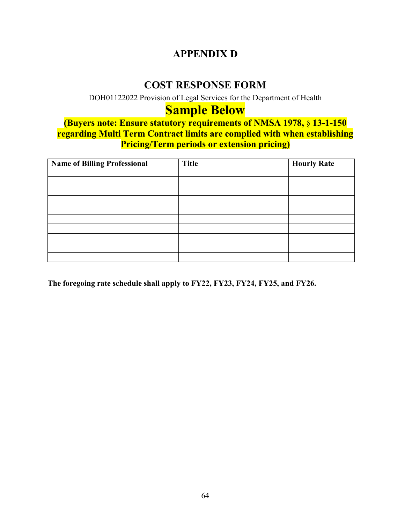# **APPENDIX D**

### **COST RESPONSE FORM**

DOH01122022 Provision of Legal Services for the Department of Health

# **Sample Below**

**(Buyers note: Ensure statutory requirements of NMSA 1978,** § **13-1-150 regarding Multi Term Contract limits are complied with when establishing Pricing/Term periods or extension pricing)**

| <b>Name of Billing Professional</b> | <b>Title</b> | <b>Hourly Rate</b> |
|-------------------------------------|--------------|--------------------|
|                                     |              |                    |
|                                     |              |                    |
|                                     |              |                    |
|                                     |              |                    |
|                                     |              |                    |
|                                     |              |                    |
|                                     |              |                    |
|                                     |              |                    |
|                                     |              |                    |

**The foregoing rate schedule shall apply to FY22, FY23, FY24, FY25, and FY26.**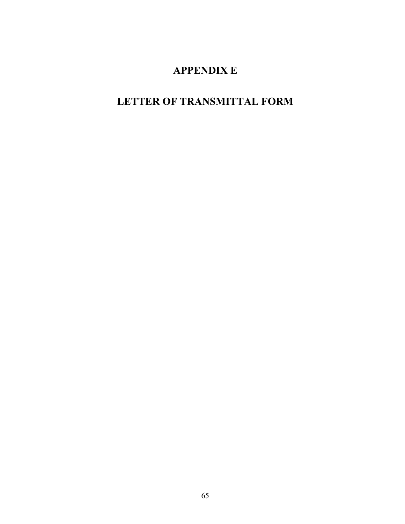# **APPENDIX E**

# **LETTER OF TRANSMITTAL FORM**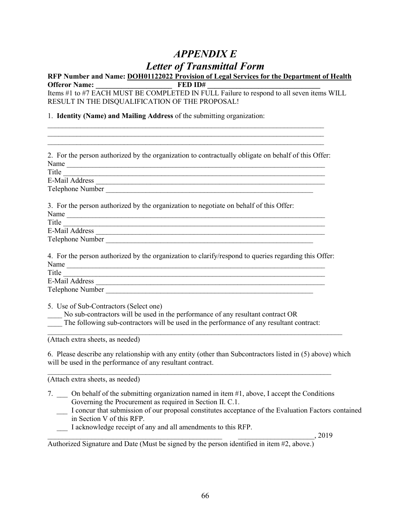# *APPENDIX E Letter of Transmittal Form*

# **RFP Number and Name: DOH01122022 Provision of Legal Services for the Department of Health**

**Offeror Name: \_\_\_\_\_\_\_\_\_\_\_\_\_\_\_\_\_\_\_\_\_ FED ID# \_\_\_\_\_\_\_\_\_\_\_\_\_\_\_\_\_\_\_\_\_\_\_\_\_\_\_\_\_\_\_** Items #1 to #7 EACH MUST BE COMPLETED IN FULL Failure to respond to all seven items WILL RESULT IN THE DISQUALIFICATION OF THE PROPOSAL!

\_\_\_\_\_\_\_\_\_\_\_\_\_\_\_\_\_\_\_\_\_\_\_\_\_\_\_\_\_\_\_\_\_\_\_\_\_\_\_\_\_\_\_\_\_\_\_\_\_\_\_\_\_\_\_\_\_\_\_\_\_\_\_\_\_\_\_\_\_\_\_\_\_\_\_\_ \_\_\_\_\_\_\_\_\_\_\_\_\_\_\_\_\_\_\_\_\_\_\_\_\_\_\_\_\_\_\_\_\_\_\_\_\_\_\_\_\_\_\_\_\_\_\_\_\_\_\_\_\_\_\_\_\_\_\_\_\_\_\_\_\_\_\_\_\_\_\_\_\_\_\_\_

1. **Identity (Name) and Mailing Address** of the submitting organization:

| 2. For the person authorized by the organization to contractually obligate on behalf of this Offer:                                                                                                                                                                                           |
|-----------------------------------------------------------------------------------------------------------------------------------------------------------------------------------------------------------------------------------------------------------------------------------------------|
| Name                                                                                                                                                                                                                                                                                          |
|                                                                                                                                                                                                                                                                                               |
|                                                                                                                                                                                                                                                                                               |
| Telephone Number                                                                                                                                                                                                                                                                              |
| 3. For the person authorized by the organization to negotiate on behalf of this Offer:                                                                                                                                                                                                        |
| Title <u>and the second contract of the second contract of the second contract of the second contract of the second contract of the second contract of the second contract of the second contract of the second contract of the </u>                                                          |
|                                                                                                                                                                                                                                                                                               |
|                                                                                                                                                                                                                                                                                               |
| 4. For the person authorized by the organization to clarify/respond to queries regarding this Offer:                                                                                                                                                                                          |
| Name<br>Title <u>experience</u> and the contract of the contract of the contract of the contract of the contract of the contract of the contract of the contract of the contract of the contract of the contract of the contract of the con                                                   |
|                                                                                                                                                                                                                                                                                               |
|                                                                                                                                                                                                                                                                                               |
| 5. Use of Sub-Contractors (Select one)<br>No sub-contractors will be used in the performance of any resultant contract OR<br>The following sub-contractors will be used in the performance of any resultant contract:                                                                         |
| (Attach extra sheets, as needed)                                                                                                                                                                                                                                                              |
| 6. Please describe any relationship with any entity (other than Subcontractors listed in (5) above) which<br>will be used in the performance of any resultant contract.                                                                                                                       |
| (Attach extra sheets, as needed)                                                                                                                                                                                                                                                              |
| 7. On behalf of the submitting organization named in item #1, above, I accept the Conditions<br>Governing the Procurement as required in Section II. C.1.<br>I concur that submission of our proposal constitutes acceptance of the Evaluation Factors contained<br>in Section V of this RFP. |
| I acknowledge receipt of any and all amendments to this RFP.                                                                                                                                                                                                                                  |
| $\sim$ , 2019                                                                                                                                                                                                                                                                                 |
|                                                                                                                                                                                                                                                                                               |

Authorized Signature and Date (Must be signed by the person identified in item #2, above.)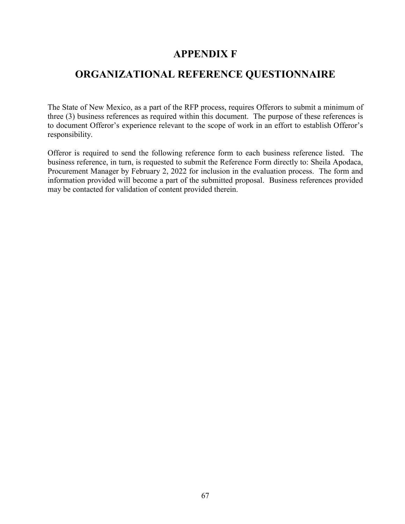### **APPENDIX F**

### **ORGANIZATIONAL REFERENCE QUESTIONNAIRE**

The State of New Mexico, as a part of the RFP process, requires Offerors to submit a minimum of three (3) business references as required within this document. The purpose of these references is to document Offeror's experience relevant to the scope of work in an effort to establish Offeror's responsibility.

Offeror is required to send the following reference form to each business reference listed. The business reference, in turn, is requested to submit the Reference Form directly to: Sheila Apodaca, Procurement Manager by February 2, 2022 for inclusion in the evaluation process. The form and information provided will become a part of the submitted proposal. Business references provided may be contacted for validation of content provided therein.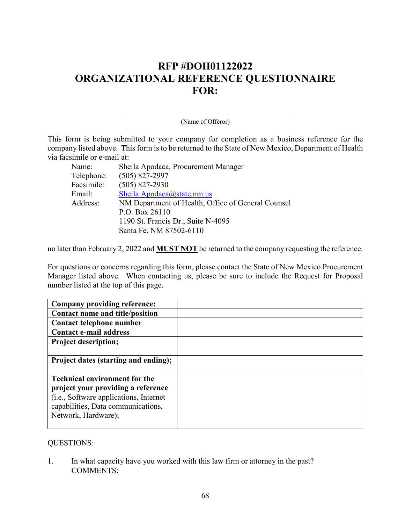# **RFP #DOH01122022 ORGANIZATIONAL REFERENCE QUESTIONNAIRE FOR:**

(Name of Offeror)

This form is being submitted to your company for completion as a business reference for the company listed above. This form is to be returned to the State of New Mexico, Department of Health via facsimile or e-mail at:

| Name:      | Sheila Apodaca, Procurement Manager                |
|------------|----------------------------------------------------|
| Telephone: | $(505)$ 827-2997                                   |
| Facsimile: | $(505)$ 827-2930                                   |
| Email:     | Sheila.Apodaca@state.nm.us                         |
| Address:   | NM Department of Health, Office of General Counsel |
|            | P.O. Box 26110                                     |
|            | 1190 St. Francis Dr., Suite N-4095                 |
|            | Santa Fe, NM 87502-6110                            |

no later than February 2, 2022 and **MUST NOT** be returned to the company requesting the reference.

For questions or concerns regarding this form, please contact the State of New Mexico Procurement Manager listed above. When contacting us, please be sure to include the Request for Proposal number listed at the top of this page.

| Company providing reference:           |  |
|----------------------------------------|--|
| Contact name and title/position        |  |
| Contact telephone number               |  |
| <b>Contact e-mail address</b>          |  |
| <b>Project description;</b>            |  |
|                                        |  |
| Project dates (starting and ending);   |  |
|                                        |  |
| <b>Technical environment for the</b>   |  |
| project your providing a reference     |  |
| (i.e., Software applications, Internet |  |
| capabilities, Data communications,     |  |
| Network, Hardware);                    |  |
|                                        |  |

#### QUESTIONS:

1. In what capacity have you worked with this law firm or attorney in the past? COMMENTS: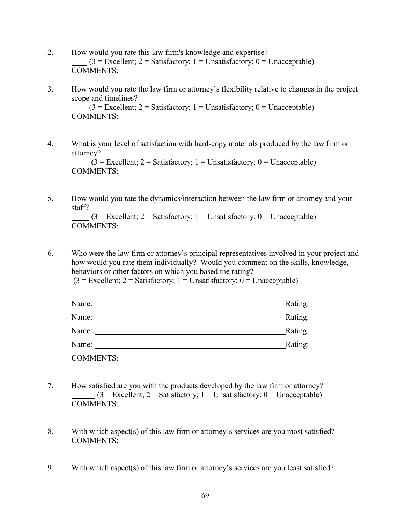- 2. How would you rate this law firm's knowledge and expertise?  $(3 = \text{Excellent}; 2 = \text{Satisfactory}; 1 = \text{Unsatisfactory}; 0 = \text{Unacceptable})$ COMMENTS:
- 3. How would you rate the law firm or attorney's flexibility relative to changes in the project scope and timelines?  $(3 =$  Excellent;  $2 =$  Satisfactory; 1 = Unsatisfactory; 0 = Unacceptable) COMMENTS:
- 4. What is your level of satisfaction with hard-copy materials produced by the law firm or attorney?  $(3 =$  Excellent; 2 = Satisfactory; 1 = Unsatisfactory; 0 = Unacceptable) COMMENTS:
- 5. How would you rate the dynamics/interaction between the law firm or attorney and your staff?

```
(3 = Excellent; 2 = Satisfactory; 1 = Unsatisfactory; 0 = Unacceptable)COMMENTS:
```
6. Who were the law firm or attorney's principal representatives involved in your project and how would you rate them individually? Would you comment on the skills, knowledge, behaviors or other factors on which you based the rating?

| $(3 = Exactlet; 2 = Satisfactory; 1 = Unsatisfactory; 0 = Unacceptable)$ |
|--------------------------------------------------------------------------|
|--------------------------------------------------------------------------|

| Name:            | Rating: |
|------------------|---------|
| Name:            | Rating: |
| Name:            | Rating: |
| Name:            | Rating: |
| <b>COMMENTS:</b> |         |

- 7. How satisfied are you with the products developed by the law firm or attorney?  $(3 = Exactlet; 2 = Satisfactory; 1 = Unsatisfactory; 0 = Unacceptable)$ COMMENTS:
- 8. With which aspect(s) of this law firm or attorney's services are you most satisfied? COMMENTS:
- 9. With which aspect(s) of this law firm or attorney's services are you least satisfied?